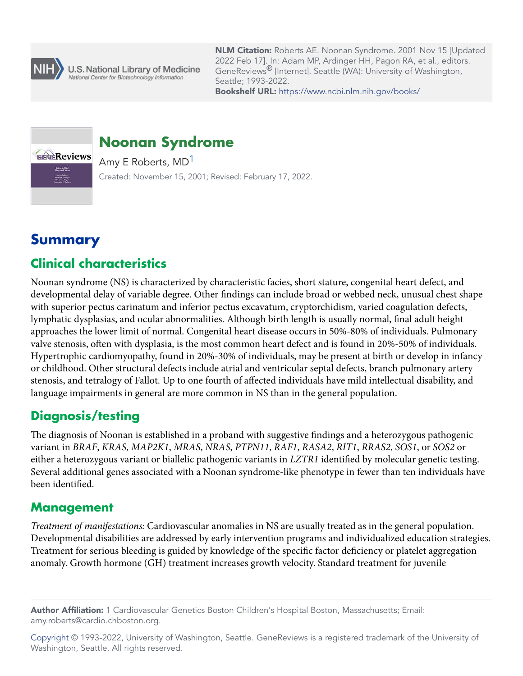

U.S. National Library of Medicine National Center for Biotechnology Information

**NLM Citation:** Roberts AE. Noonan Syndrome. 2001 Nov 15 [Updated 2022 Feb 17]. In: Adam MP, Ardinger HH, Pagon RA, et al., editors. GeneReviews® [Internet]. Seattle (WA): University of Washington, Seattle; 1993-2022. **Bookshelf URL:** https://www.ncbi.nlm.nih.gov/books/



# **Noonan Syndrome**

Amy E Roberts, MD<sup>1</sup> Created: November 15, 2001; Revised: February 17, 2022.

# **Summary**

# **Clinical characteristics**

Noonan syndrome (NS) is characterized by characteristic facies, short stature, congenital heart defect, and developmental delay of variable degree. Other findings can include broad or webbed neck, unusual chest shape with superior pectus carinatum and inferior pectus excavatum, cryptorchidism, varied coagulation defects, lymphatic dysplasias, and ocular abnormalities. Although birth length is usually normal, final adult height approaches the lower limit of normal. Congenital heart disease occurs in 50%-80% of individuals. Pulmonary valve stenosis, often with dysplasia, is the most common heart defect and is found in 20%-50% of individuals. Hypertrophic cardiomyopathy, found in 20%-30% of individuals, may be present at birth or develop in infancy or childhood. Other structural defects include atrial and ventricular septal defects, branch pulmonary artery stenosis, and tetralogy of Fallot. Up to one fourth of affected individuals have mild intellectual disability, and language impairments in general are more common in NS than in the general population.

# **Diagnosis/testing**

The diagnosis of Noonan is established in a proband with suggestive findings and a heterozygous pathogenic variant in *BRAF*, *KRAS*, *MAP2K1*, *MRAS*, *NRAS*, *PTPN11*, *RAF1*, *RASA2*, *RIT1*, *RRAS2*, *SOS1*, or *SOS2* or either a heterozygous variant or biallelic pathogenic variants in *LZTR1* identified by molecular genetic testing. Several additional genes associated with a Noonan syndrome-like phenotype in fewer than ten individuals have been identified.

## **Management**

*Treatment of manifestations:* Cardiovascular anomalies in NS are usually treated as in the general population. Developmental disabilities are addressed by early intervention programs and individualized education strategies. Treatment for serious bleeding is guided by knowledge of the specific factor deficiency or platelet aggregation anomaly. Growth hormone (GH) treatment increases growth velocity. Standard treatment for juvenile

**Author Affiliation:** 1 Cardiovascular Genetics Boston Children's Hospital Boston, Massachusetts; Email: amy.roberts@cardio.chboston.org.

[Copyright](https://www.ncbi.nlm.nih.gov/books/n/about/copyright/) © 1993-2022, University of Washington, Seattle. GeneReviews is a registered trademark of the University of Washington, Seattle. All rights reserved.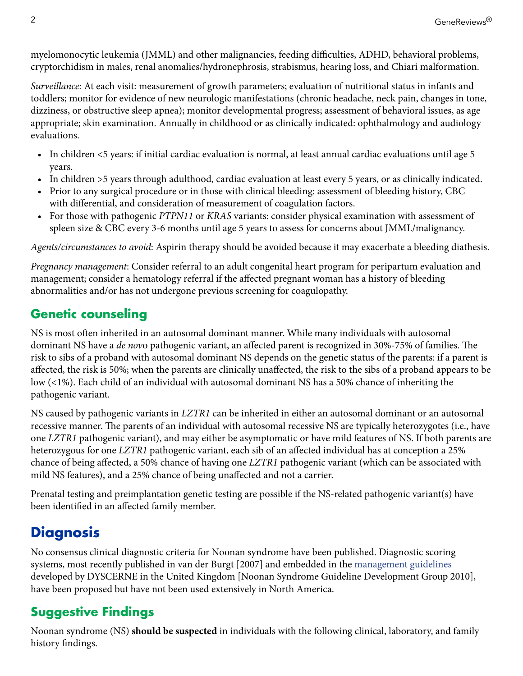<span id="page-1-0"></span>myelomonocytic leukemia (JMML) and other malignancies, feeding difficulties, ADHD, behavioral problems, cryptorchidism in males, renal anomalies/hydronephrosis, strabismus, hearing loss, and Chiari malformation.

*Surveillance:* At each visit: measurement of growth parameters; evaluation of nutritional status in infants and toddlers; monitor for evidence of new neurologic manifestations (chronic headache, neck pain, changes in tone, dizziness, or obstructive sleep apnea); monitor developmental progress; assessment of behavioral issues, as age appropriate; skin examination. Annually in childhood or as clinically indicated: ophthalmology and audiology evaluations.

- In children <5 years: if initial cardiac evaluation is normal, at least annual cardiac evaluations until age 5 years.
- In children >5 years through adulthood, cardiac evaluation at least every 5 years, or as clinically indicated.
- Prior to any surgical procedure or in those with clinical bleeding: assessment of bleeding history, CBC with differential, and consideration of measurement of coagulation factors.
- For those with pathogenic *PTPN11* or *KRAS* variants: consider physical examination with assessment of spleen size & CBC every 3-6 months until age 5 years to assess for concerns about JMML/malignancy.

*Agents/circumstances to avoid*: Aspirin therapy should be avoided because it may exacerbate a bleeding diathesis.

*Pregnancy management*: Consider referral to an adult congenital heart program for peripartum evaluation and management; consider a hematology referral if the affected pregnant woman has a history of bleeding abnormalities and/or has not undergone previous screening for coagulopathy.

# **Genetic counseling**

NS is most often inherited in an autosomal dominant manner. While many individuals with autosomal dominant NS have a *de nov*o pathogenic variant, an affected parent is recognized in 30%-75% of families. The risk to sibs of a proband with autosomal dominant NS depends on the genetic status of the parents: if a parent is affected, the risk is 50%; when the parents are clinically unaffected, the risk to the sibs of a proband appears to be low (<1%). Each child of an individual with autosomal dominant NS has a 50% chance of inheriting the pathogenic variant.

NS caused by pathogenic variants in *LZTR1* can be inherited in either an autosomal dominant or an autosomal recessive manner. The parents of an individual with autosomal recessive NS are typically heterozygotes (i.e., have one *LZTR1* pathogenic variant), and may either be asymptomatic or have mild features of NS. If both parents are heterozygous for one *LZTR1* pathogenic variant, each sib of an affected individual has at conception a 25% chance of being affected, a 50% chance of having one *LZTR1* pathogenic variant (which can be associated with mild NS features), and a 25% chance of being unaffected and not a carrier.

Prenatal testing and preimplantation genetic testing are possible if the NS-related pathogenic variant(s) have been identified in an affected family member.

# **Diagnosis**

No consensus clinical diagnostic criteria for Noonan syndrome have been published. Diagnostic scoring systems, most recently published in [van der Burgt \[2007\]](#page-37-0) and embedded in the [management guidelines](https://rasopathiesnet.org/wp-content/uploads/2014/01/265_Noonan_Guidelines.pdf)  developed by DYSCERNE in the United Kingdom [\[Noonan Syndrome Guideline Development Group 2010](#page-28-0)], have been proposed but have not been used extensively in North America.

# **Suggestive Findings**

Noonan syndrome (NS) **should be suspected** in individuals with the following clinical, laboratory, and family history findings.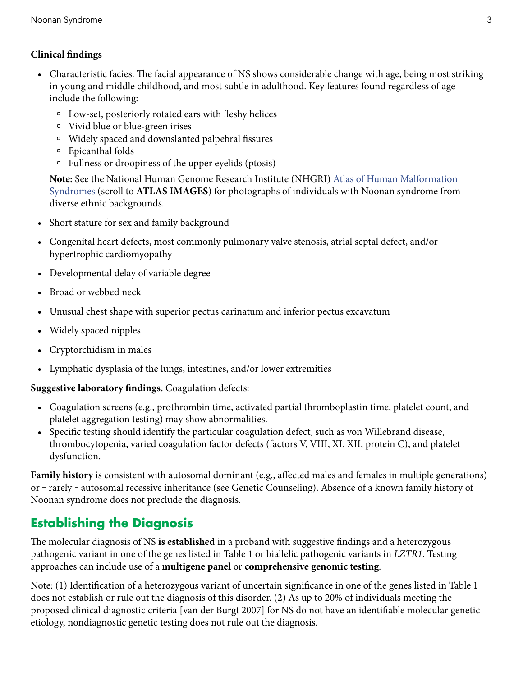#### **Clinical findings**

- Characteristic facies. The facial appearance of NS shows considerable change with age, being most striking in young and middle childhood, and most subtle in adulthood. Key features found regardless of age include the following:
	- ⚬ Low-set, posteriorly rotated ears with fleshy helices
	- ⚬ Vivid blue or blue-green irises
	- ⚬ Widely spaced and downslanted palpebral fissures
	- ⚬ Epicanthal folds
	- ⚬ Fullness or droopiness of the upper eyelids (ptosis)

**Note:** See the National Human Genome Research Institute (NHGRI) [Atlas of Human Malformation](https://research.nhgri.nih.gov/atlas/condition/noonan-syndrome)  [Syndromes](https://research.nhgri.nih.gov/atlas/condition/noonan-syndrome) (scroll to **ATLAS IMAGES**) for photographs of individuals with Noonan syndrome from diverse ethnic backgrounds.

- Short stature for sex and family background
- Congenital heart defects, most commonly pulmonary valve stenosis, atrial septal defect, and/or hypertrophic cardiomyopathy
- Developmental delay of variable degree
- Broad or webbed neck
- Unusual chest shape with superior pectus carinatum and inferior pectus excavatum
- Widely spaced nipples
- Cryptorchidism in males
- Lymphatic dysplasia of the lungs, intestines, and/or lower extremities

#### **Suggestive laboratory findings.** Coagulation defects:

- Coagulation screens (e.g., prothrombin time, activated partial thromboplastin time, platelet count, and platelet aggregation testing) may show abnormalities.
- Specific testing should identify the particular coagulation defect, such as von Willebrand disease, thrombocytopenia, varied coagulation factor defects (factors V, VIII, XI, XII, protein C), and platelet dysfunction.

**Family history** is consistent with autosomal dominant (e.g., affected males and females in multiple generations) or - rarely - autosomal recessive inheritance (see [Genetic Counseling](#page-19-0)). Absence of a known family history of Noonan syndrome does not preclude the diagnosis.

# **Establishing the Diagnosis**

The molecular diagnosis of NS **is established** in a proband with suggestive findings and a heterozygous pathogenic variant in one of the genes listed in [Table 1](#page-3-0) or biallelic pathogenic variants in *LZTR1*. Testing approaches can include use of a **multigene panel** or **comprehensive genomic testing**.

Note: (1) Identification of a heterozygous variant of uncertain significance in one of the genes listed in [Table 1](#page-3-0)  does not establish or rule out the diagnosis of this disorder. (2) As up to 20% of individuals meeting the proposed clinical diagnostic criteria [\[van der Burgt 2007\]](#page-37-0) for NS do not have an identifiable molecular genetic etiology, nondiagnostic genetic testing does not rule out the diagnosis.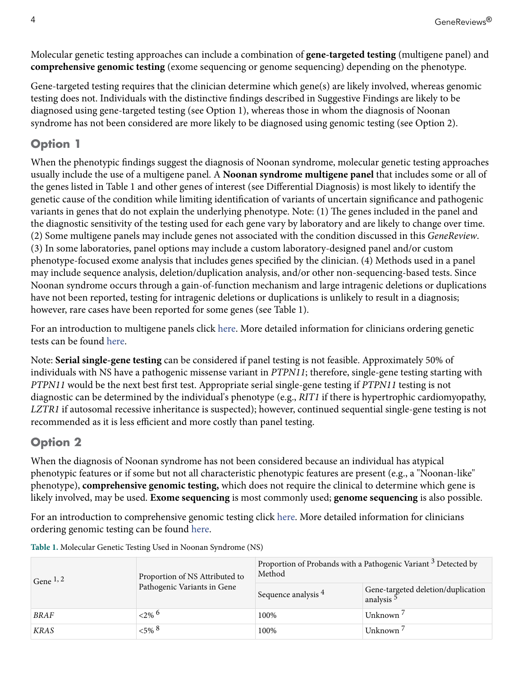<span id="page-3-0"></span>Molecular genetic testing approaches can include a combination of **gene-targeted testing** (multigene panel) and **comprehensive genomic testing** (exome sequencing or genome sequencing) depending on the phenotype.

Gene-targeted testing requires that the clinician determine which gene(s) are likely involved, whereas genomic testing does not. Individuals with the distinctive findings described in [Suggestive Findings](#page-1-0) are likely to be diagnosed using gene-targeted testing (see Option 1), whereas those in whom the diagnosis of Noonan syndrome has not been considered are more likely to be diagnosed using genomic testing (see Option 2).

### **Option 1**

When the phenotypic findings suggest the diagnosis of Noonan syndrome, molecular genetic testing approaches usually include the use of a multigene panel. A **Noonan syndrome multigene panel** that includes some or all of the genes listed in Table 1 and other genes of interest (see [Differential Diagnosis](#page-13-0)) is most likely to identify the genetic cause of the condition while limiting identification of variants of uncertain significance and pathogenic variants in genes that do not explain the underlying phenotype. Note: (1) The genes included in the panel and the diagnostic sensitivity of the testing used for each gene vary by laboratory and are likely to change over time. (2) Some multigene panels may include genes not associated with the condition discussed in this *GeneReview*. (3) In some laboratories, panel options may include a custom laboratory-designed panel and/or custom phenotype-focused exome analysis that includes genes specified by the clinician. (4) Methods used in a panel may include sequence analysis, deletion/duplication analysis, and/or other non-sequencing-based tests. Since Noonan syndrome occurs through a gain-of-function mechanism and large intragenic deletions or duplications have not been reported, testing for intragenic deletions or duplications is unlikely to result in a diagnosis; however, rare cases have been reported for some genes (see Table 1).

For an introduction to multigene panels click [here.](https://www.ncbi.nlm.nih.gov/books/n/gene/app5/#app5.Multigene_Panels) More detailed information for clinicians ordering genetic tests can be found [here.](https://www.ncbi.nlm.nih.gov/books/n/gene/app5/#app5.Multigene_Panels_FAQs)

Note: **Serial single-gene testing** can be considered if panel testing is not feasible. Approximately 50% of individuals with NS have a pathogenic missense variant in *PTPN11*; therefore, single-gene testing starting with *PTPN11* would be the next best first test. Appropriate serial single-gene testing if *PTPN11* testing is not diagnostic can be determined by the individual's phenotype (e.g., *RIT1* if there is hypertrophic cardiomyopathy, *LZTR1* if autosomal recessive inheritance is suspected); however, continued sequential single-gene testing is not recommended as it is less efficient and more costly than panel testing.

### **Option 2**

When the diagnosis of Noonan syndrome has not been considered because an individual has atypical phenotypic features or if some but not all characteristic phenotypic features are present (e.g., a "Noonan-like" phenotype), **comprehensive genomic testing,** which does not require the clinical to determine which gene is likely involved, may be used. **Exome sequencing** is most commonly used; **genome sequencing** is also possible.

For an introduction to comprehensive genomic testing click [here](https://www.ncbi.nlm.nih.gov/books/n/gene/app5/#app5.Comprehensive_Genomic_Testing). More detailed information for clinicians ordering genomic testing can be found [here.](https://www.ncbi.nlm.nih.gov/books/n/gene/app5/#app5.Comprehensive_Genomic_Testing_1)

| Gene $^{1, 2}$ | Proportion of NS Attributed to<br>Pathogenic Variants in Gene | Proportion of Probands with a Pathogenic Variant <sup>3</sup> Detected by<br>Method |                                                             |  |
|----------------|---------------------------------------------------------------|-------------------------------------------------------------------------------------|-------------------------------------------------------------|--|
|                |                                                               | Sequence analysis <sup>4</sup>                                                      | Gene-targeted deletion/duplication<br>analysis <sup>5</sup> |  |
| <b>BRAF</b>    | ${2\%}$ <sup>6</sup>                                          | 100%                                                                                | Unknown <sup>7</sup>                                        |  |
| <b>KRAS</b>    | ${5\%}$ $8$                                                   | 100%                                                                                | Unknown                                                     |  |

**Table 1.** Molecular Genetic Testing Used in Noonan Syndrome (NS)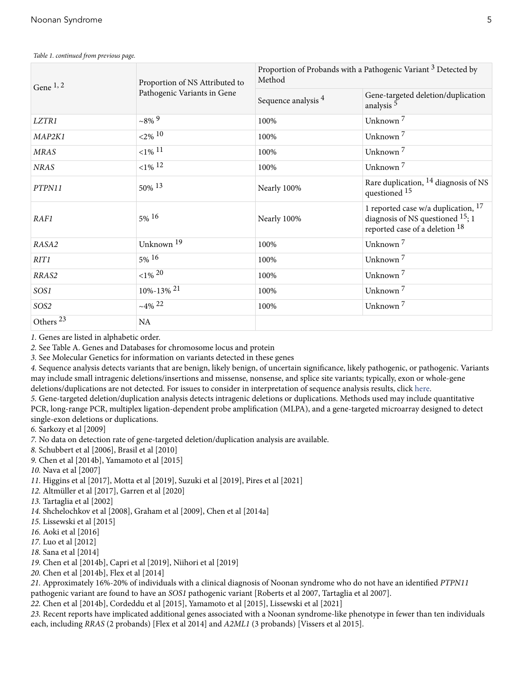| Gene $1, 2$          | Proportion of NS Attributed to | Proportion of Probands with a Pathogenic Variant <sup>3</sup> Detected by<br>Method |                                                                                                                         |  |
|----------------------|--------------------------------|-------------------------------------------------------------------------------------|-------------------------------------------------------------------------------------------------------------------------|--|
|                      | Pathogenic Variants in Gene    | Sequence analysis 4                                                                 | Gene-targeted deletion/duplication<br>analysis <sup>5</sup>                                                             |  |
| LZTR1                | $~10^{8}\%$                    | 100%                                                                                | Unknown <sup>7</sup>                                                                                                    |  |
| MAP2K1               | ${<}2\%$ <sup>10</sup>         | 100%                                                                                | Unknown <sup>7</sup>                                                                                                    |  |
| <b>MRAS</b>          | ${1\%}$ <sup>11</sup>          | 100%                                                                                | Unknown <sup>7</sup>                                                                                                    |  |
| <b>NRAS</b>          | ${1\%}$ 12                     | 100%                                                                                | Unknown <sup>7</sup>                                                                                                    |  |
| PTPN11               | 50% 13                         | Nearly 100%                                                                         | Rare duplication, <sup>14</sup> diagnosis of NS<br>questioned 15                                                        |  |
| RAF1                 | $5\%$ <sup>16</sup>            | Nearly 100%                                                                         | 1 reported case w/a duplication, <sup>17</sup><br>diagnosis of NS questioned $15$ ; 1<br>reported case of a deletion 18 |  |
| RASA2                | Unknown <sup>19</sup>          | 100%                                                                                | Unknown <sup>7</sup>                                                                                                    |  |
| RITI                 | $5\%$ <sup>16</sup>            | 100%                                                                                | Unknown <sup>7</sup>                                                                                                    |  |
| RRAS2                | ${<}1\%$ 20                    | 100%                                                                                | Unknown <sup>7</sup>                                                                                                    |  |
| SOS1                 | 10%-13% 21                     | 100%                                                                                | Unknown <sup>7</sup>                                                                                                    |  |
| SOS2                 | $~14\%~22$                     | 100%                                                                                | Unknown <sup>7</sup>                                                                                                    |  |
| Others <sup>23</sup> | NA                             |                                                                                     |                                                                                                                         |  |

*Table 1. continued from previous page.*

*1.* Genes are listed in alphabetic order.

*2.* See [Table A. Genes and Databases](#page-23-0) for chromosome locus and protein

*3.* See [Molecular Genetics](#page-23-0) for information on variants detected in these genes

*4.* Sequence analysis detects variants that are benign, likely benign, of uncertain significance, likely pathogenic, or pathogenic. Variants may include small intragenic deletions/insertions and missense, nonsense, and splice site variants; typically, exon or whole-gene deletions/duplications are not detected. For issues to consider in interpretation of sequence analysis results, click [here](https://www.ncbi.nlm.nih.gov/books/n/gene/app2/).

*5.* Gene-targeted deletion/duplication analysis detects intragenic deletions or duplications. Methods used may include quantitative

PCR, long-range PCR, multiplex ligation-dependent probe amplification (MLPA), and a gene-targeted microarray designed to detect single-exon deletions or duplications.

*6.* [Sarkozy et al \[2009\]](#page-36-0)

*7.* No data on detection rate of gene-targeted deletion/duplication analysis are available.

*8.* [Schubbert et al \[2006\]](#page-36-0), [Brasil et al \[2010\]](#page-29-0)

*9.* [Chen et al \[2014b\]](#page-29-0), [Yamamoto et al \[2015\]](#page-37-0)

*10.* [Nava et al \[2007\]](#page-34-0)

*11.* [Higgins et al \[2017\],](#page-31-0) [Motta et al \[2019\]](#page-33-0), [Suzuki et al \[2019\]](#page-36-0), [Pires et al \[2021\]](#page-35-0)

*12.* [Altmüller et al \[2017\]](#page-28-0), [Garren et al \[2020\]](#page-30-0)

*13.* [Tartaglia et al \[2002\]](#page-36-0)

*14.* [Shchelochkov et al \[2008\],](#page-36-0) [Graham et al \[2009\]](#page-30-0), [Chen et al \[2014a\]](#page-29-0)

*15.* [Lissewski et al \[2015\]](#page-32-0)

*16.* [Aoki et al \[2016\]](#page-28-0)

*17.* [Luo et al \[2012\]](#page-33-0)

*18.* [Sana et al \[2014\]](#page-36-0)

*19.* [Chen et al \[2014b\]](#page-29-0), [Capri et al \[2019\]](#page-29-0), [Niihori et al \[2019\]](#page-34-0)

*20.* [Chen et al \[2014b\]](#page-29-0), [Flex et al \[2014\]](#page-30-0)

*21.* Approximately 16%-20% of individuals with a clinical diagnosis of Noonan syndrome who do not have an identified *PTPN11* 

pathogenic variant are found to have an *SOS1* pathogenic variant [\[Roberts et al 2007,](#page-35-0) [Tartaglia et al 2007\]](#page-37-0).

*22.* [Chen et al \[2014b\]](#page-29-0), [Cordeddu et al \[2015\]](#page-30-0), [Yamamoto et al \[2015\],](#page-37-0) [Lissewski et al \[2021\]](#page-32-0)

*23.* Recent reports have implicated additional genes associated with a Noonan syndrome-like phenotype in fewer than ten individuals each, including *RRAS* (2 probands) [\[Flex et al 2014](#page-30-0)] and *A2ML1* (3 probands) [\[Vissers et al 2015](#page-37-0)].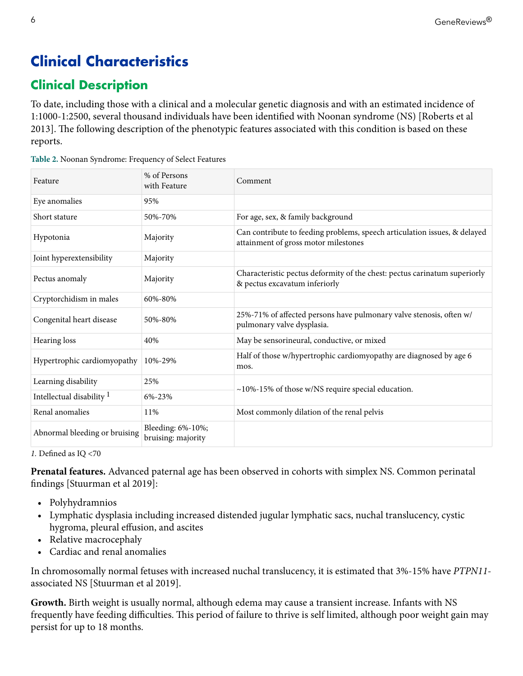# **Clinical Characteristics**

# **Clinical Description**

To date, including those with a clinical and a molecular genetic diagnosis and with an estimated incidence of 1:1000-1:2500, several thousand individuals have been identified with Noonan syndrome (NS) [\[Roberts et al](#page-28-0) [2013](#page-28-0)]. The following description of the phenotypic features associated with this condition is based on these reports.

| Feature                              | % of Persons<br>with Feature            | Comment                                                                                                           |
|--------------------------------------|-----------------------------------------|-------------------------------------------------------------------------------------------------------------------|
| Eye anomalies                        | 95%                                     |                                                                                                                   |
| Short stature                        | 50%-70%                                 | For age, sex, & family background                                                                                 |
| Hypotonia                            | Majority                                | Can contribute to feeding problems, speech articulation issues, & delayed<br>attainment of gross motor milestones |
| Joint hyperextensibility             | Majority                                |                                                                                                                   |
| Pectus anomaly                       | Majority                                | Characteristic pectus deformity of the chest: pectus carinatum superiorly<br>& pectus excavatum inferiorly        |
| Cryptorchidism in males              | 60%-80%                                 |                                                                                                                   |
| Congenital heart disease             | 50%-80%                                 | 25%-71% of affected persons have pulmonary valve stenosis, often w/<br>pulmonary valve dysplasia.                 |
| Hearing loss                         | 40%                                     | May be sensorineural, conductive, or mixed                                                                        |
| Hypertrophic cardiomyopathy          | 10%-29%                                 | Half of those w/hypertrophic cardiomyopathy are diagnosed by age 6<br>mos.                                        |
| Learning disability                  | 25%                                     | $\sim$ 10%-15% of those w/NS require special education.                                                           |
| Intellectual disability <sup>1</sup> | 6%-23%                                  |                                                                                                                   |
| Renal anomalies                      | 11%                                     | Most commonly dilation of the renal pelvis                                                                        |
| Abnormal bleeding or bruising        | Bleeding: 6%-10%;<br>bruising: majority |                                                                                                                   |

|  | Table 2. Noonan Syndrome: Frequency of Select Features |  |  |
|--|--------------------------------------------------------|--|--|
|  |                                                        |  |  |

*1.* Defined as IQ <70

**Prenatal features.** Advanced paternal age has been observed in cohorts with simplex NS. Common perinatal findings [[Stuurman et al 2019\]](#page-36-0):

- Polyhydramnios
- Lymphatic dysplasia including increased distended jugular lymphatic sacs, nuchal translucency, cystic hygroma, pleural effusion, and ascites
- Relative macrocephaly
- Cardiac and renal anomalies

In chromosomally normal fetuses with increased nuchal translucency, it is estimated that 3%-15% have *PTPN11* associated NS [\[Stuurman et al 2019](#page-36-0)].

**Growth.** Birth weight is usually normal, although edema may cause a transient increase. Infants with NS frequently have feeding difficulties. This period of failure to thrive is self limited, although poor weight gain may persist for up to 18 months.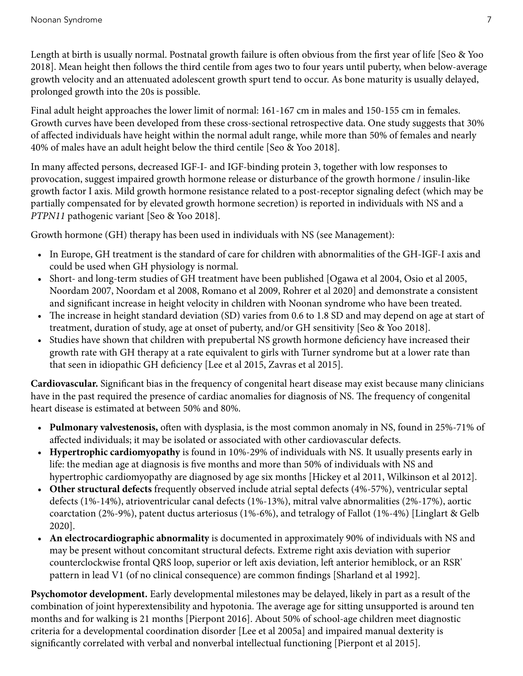Length at birth is usually normal. Postnatal growth failure is often obvious from the first year of life [[Seo & Yoo](#page-36-0) [2018](#page-36-0)]. Mean height then follows the third centile from ages two to four years until puberty, when below-average growth velocity and an attenuated adolescent growth spurt tend to occur. As bone maturity is usually delayed, prolonged growth into the 20s is possible.

Final adult height approaches the lower limit of normal: 161-167 cm in males and 150-155 cm in females. Growth curves have been developed from these cross-sectional retrospective data. One study suggests that 30% of affected individuals have height within the normal adult range, while more than 50% of females and nearly 40% of males have an adult height below the third centile [[Seo & Yoo 2018](#page-36-0)].

In many affected persons, decreased IGF-I- and IGF-binding protein 3, together with low responses to provocation, suggest impaired growth hormone release or disturbance of the growth hormone / insulin-like growth factor I axis. Mild growth hormone resistance related to a post-receptor signaling defect (which may be partially compensated for by elevated growth hormone secretion) is reported in individuals with NS and a *PTPN11* pathogenic variant [[Seo & Yoo 2018](#page-36-0)].

Growth hormone (GH) therapy has been used in individuals with NS (see [Management](#page-14-0)):

- In Europe, GH treatment is the standard of care for children with abnormalities of the GH-IGF-I axis and could be used when GH physiology is normal.
- Short- and long-term studies of GH treatment have been published [\[Ogawa et al 2004, Osio et al 2005](#page-35-0), [Noordam 2007](#page-34-0), [Noordam et al 2008,](#page-34-0) [Romano et al 2009, Rohrer et al 2020](#page-35-0)] and demonstrate a consistent and significant increase in height velocity in children with Noonan syndrome who have been treated.
- The increase in height standard deviation (SD) varies from 0.6 to 1.8 SD and may depend on age at start of treatment, duration of study, age at onset of puberty, and/or GH sensitivity [[Seo & Yoo 2018](#page-36-0)].
- Studies have shown that children with prepubertal NS growth hormone deficiency have increased their growth rate with GH therapy at a rate equivalent to girls with Turner syndrome but at a lower rate than that seen in idiopathic GH deficiency [[Lee et al 2015,](#page-32-0) [Zavras et al 2015](#page-38-0)].

**Cardiovascular.** Significant bias in the frequency of congenital heart disease may exist because many clinicians have in the past required the presence of cardiac anomalies for diagnosis of NS. The frequency of congenital heart disease is estimated at between 50% and 80%.

- **Pulmonary valvestenosis,** often with dysplasia, is the most common anomaly in NS, found in 25%-71% of affected individuals; it may be isolated or associated with other cardiovascular defects.
- **Hypertrophic cardiomyopathy** is found in 10%-29% of individuals with NS. It usually presents early in life: the median age at diagnosis is five months and more than 50% of individuals with NS and hypertrophic cardiomyopathy are diagnosed by age six months [[Hickey et al 2011,](#page-31-0) [Wilkinson et al 2012\]](#page-37-0).
- **Other structural defects** frequently observed include atrial septal defects (4%-57%), ventricular septal defects (1%-14%), atrioventricular canal defects (1%-13%), mitral valve abnormalities (2%-17%), aortic coarctation (2%-9%), patent ductus arteriosus (1%-6%), and tetralogy of Fallot (1%-4%) [\[Linglart & Gelb](#page-32-0) [2020](#page-32-0)].
- **An electrocardiographic abnormality** is documented in approximately 90% of individuals with NS and may be present without concomitant structural defects. Extreme right axis deviation with superior counterclockwise frontal QRS loop, superior or left axis deviation, left anterior hemiblock, or an RSR' pattern in lead V1 (of no clinical consequence) are common findings [[Sharland et al 1992](#page-36-0)].

**Psychomotor development.** Early developmental milestones may be delayed, likely in part as a result of the combination of joint hyperextensibility and hypotonia. The average age for sitting unsupported is around ten months and for walking is 21 months [\[Pierpont 2016\]](#page-35-0). About 50% of school-age children meet diagnostic criteria for a developmental coordination disorder [\[Lee et al 2005a](#page-32-0)] and impaired manual dexterity is significantly correlated with verbal and nonverbal intellectual functioning [\[Pierpont et al 2015\]](#page-35-0).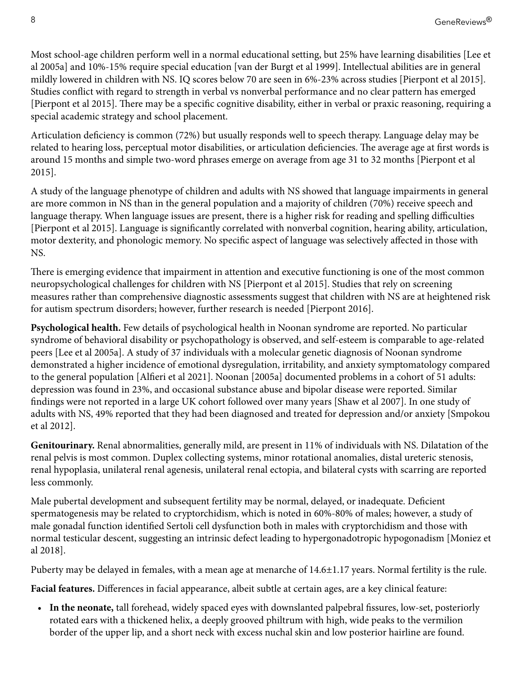Most school-age children perform well in a normal educational setting, but 25% have learning disabilities [\[Lee et](#page-32-0)  [al 2005a](#page-32-0)] and 10%-15% require special education [\[van der Burgt et al 1999](#page-37-0)]. Intellectual abilities are in general mildly lowered in children with NS. IQ scores below 70 are seen in 6%-23% across studies [[Pierpont et al 2015\]](#page-35-0). Studies conflict with regard to strength in verbal vs nonverbal performance and no clear pattern has emerged [\[Pierpont et al 2015](#page-35-0)]. There may be a specific cognitive disability, either in verbal or praxic reasoning, requiring a special academic strategy and school placement.

Articulation deficiency is common (72%) but usually responds well to speech therapy. Language delay may be related to hearing loss, perceptual motor disabilities, or articulation deficiencies. The average age at first words is around 15 months and simple two-word phrases emerge on average from age 31 to 32 months [\[Pierpont et al](#page-35-0)  [2015](#page-35-0)].

A study of the language phenotype of children and adults with NS showed that language impairments in general are more common in NS than in the general population and a majority of children (70%) receive speech and language therapy. When language issues are present, there is a higher risk for reading and spelling difficulties [\[Pierpont et al 2015](#page-35-0)]. Language is significantly correlated with nonverbal cognition, hearing ability, articulation, motor dexterity, and phonologic memory. No specific aspect of language was selectively affected in those with NS.

There is emerging evidence that impairment in attention and executive functioning is one of the most common neuropsychological challenges for children with NS [\[Pierpont et al 2015](#page-35-0)]. Studies that rely on screening measures rather than comprehensive diagnostic assessments suggest that children with NS are at heightened risk for autism spectrum disorders; however, further research is needed [\[Pierpont 2016\]](#page-35-0).

**Psychological health.** Few details of psychological health in Noonan syndrome are reported. No particular syndrome of behavioral disability or psychopathology is observed, and self-esteem is comparable to age-related peers [\[Lee et al 2005a\]](#page-32-0). A study of 37 individuals with a molecular genetic diagnosis of Noonan syndrome demonstrated a higher incidence of emotional dysregulation, irritability, and anxiety symptomatology compared to the general population [[Alfieri et al 2021\]](#page-28-0). [Noonan \[2005a\]](#page-34-0) documented problems in a cohort of 51 adults: depression was found in 23%, and occasional substance abuse and bipolar disease were reported. Similar findings were not reported in a large UK cohort followed over many years [\[Shaw et al 2007](#page-36-0)]. In one study of adults with NS, 49% reported that they had been diagnosed and treated for depression and/or anxiety [[Smpokou](#page-36-0)  [et al 2012\]](#page-36-0).

**Genitourinary.** Renal abnormalities, generally mild, are present in 11% of individuals with NS. Dilatation of the renal pelvis is most common. Duplex collecting systems, minor rotational anomalies, distal ureteric stenosis, renal hypoplasia, unilateral renal agenesis, unilateral renal ectopia, and bilateral cysts with scarring are reported less commonly.

Male pubertal development and subsequent fertility may be normal, delayed, or inadequate. Deficient spermatogenesis may be related to cryptorchidism, which is noted in 60%-80% of males; however, a study of male gonadal function identified Sertoli cell dysfunction both in males with cryptorchidism and those with normal testicular descent, suggesting an intrinsic defect leading to hypergonadotropic hypogonadism [\[Moniez et](#page-33-0) [al 2018](#page-33-0)].

Puberty may be delayed in females, with a mean age at menarche of 14.6±1.17 years. Normal fertility is the rule.

**Facial features.** Differences in facial appearance, albeit subtle at certain ages, are a key clinical feature:

• **In the neonate,** tall forehead, widely spaced eyes with downslanted palpebral fissures, low-set, posteriorly rotated ears with a thickened helix, a deeply grooved philtrum with high, wide peaks to the vermilion border of the upper lip, and a short neck with excess nuchal skin and low posterior hairline are found.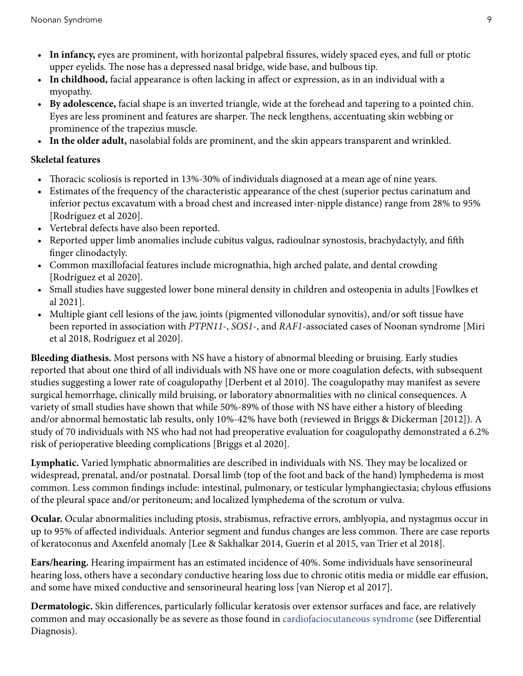- **In infancy,** eyes are prominent, with horizontal palpebral fissures, widely spaced eyes, and full or ptotic upper eyelids. The nose has a depressed nasal bridge, wide base, and bulbous tip.
- **In childhood,** facial appearance is often lacking in affect or expression, as in an individual with a myopathy.
- **By adolescence,** facial shape is an inverted triangle, wide at the forehead and tapering to a pointed chin. Eyes are less prominent and features are sharper. The neck lengthens, accentuating skin webbing or prominence of the trapezius muscle.
- **In the older adult,** nasolabial folds are prominent, and the skin appears transparent and wrinkled.

#### **Skeletal features**

- Thoracic scoliosis is reported in 13%-30% of individuals diagnosed at a mean age of nine years.
- Estimates of the frequency of the characteristic appearance of the chest (superior pectus carinatum and inferior pectus excavatum with a broad chest and increased inter-nipple distance) range from 28% to 95% [\[Rodríguez et al 2020](#page-35-0)].
- Vertebral defects have also been reported.
- Reported upper limb anomalies include cubitus valgus, radioulnar synostosis, brachydactyly, and fifth finger clinodactyly.
- Common maxillofacial features include micrognathia, high arched palate, and dental crowding [\[Rodríguez et al 2020](#page-35-0)].
- Small studies have suggested lower bone mineral density in children and osteopenia in adults [[Fowlkes et](#page-30-0) [al 2021](#page-30-0)].
- Multiple giant cell lesions of the jaw, joints (pigmented villonodular synovitis), and/or soft tissue have been reported in association with *PTPN11*-, *SOS1*-, and *RAF1*-associated cases of Noonan syndrome [\[Miri](#page-33-0)  [et al 2018,](#page-33-0) [Rodríguez et al 2020](#page-35-0)].

**Bleeding diathesis.** Most persons with NS have a history of abnormal bleeding or bruising. Early studies reported that about one third of all individuals with NS have one or more coagulation defects, with subsequent studies suggesting a lower rate of coagulopathy [\[Derbent et al 2010](#page-30-0)]. The coagulopathy may manifest as severe surgical hemorrhage, clinically mild bruising, or laboratory abnormalities with no clinical consequences. A variety of small studies have shown that while 50%-89% of those with NS have either a history of bleeding and/or abnormal hemostatic lab results, only 10%-42% have both (reviewed in [Briggs & Dickerman \[2012\]](#page-29-0)). A study of 70 individuals with NS who had not had preoperative evaluation for coagulopathy demonstrated a 6.2% risk of perioperative bleeding complications [\[Briggs et al 2020](#page-29-0)].

**Lymphatic.** Varied lymphatic abnormalities are described in individuals with NS. They may be localized or widespread, prenatal, and/or postnatal. Dorsal limb (top of the foot and back of the hand) lymphedema is most common. Less common findings include: intestinal, pulmonary, or testicular lymphangiectasia; chylous effusions of the pleural space and/or peritoneum; and localized lymphedema of the scrotum or vulva.

**Ocular.** Ocular abnormalities including ptosis, strabismus, refractive errors, amblyopia, and nystagmus occur in up to 95% of affected individuals. Anterior segment and fundus changes are less common. There are case reports of keratoconus and Axenfeld anomaly [[Lee & Sakhalkar 2014,](#page-32-0) [Guerin et al 2015,](#page-31-0) [van Trier et al 2018](#page-37-0)].

**Ears/hearing.** Hearing impairment has an estimated incidence of 40%. Some individuals have sensorineural hearing loss, others have a secondary conductive hearing loss due to chronic otitis media or middle ear effusion, and some have mixed conductive and sensorineural hearing loss [[van Nierop et al 2017\]](#page-37-0).

**Dermatologic.** Skin differences, particularly follicular keratosis over extensor surfaces and face, are relatively common and may occasionally be as severe as those found in [cardiofaciocutaneous syndrome](https://www.ncbi.nlm.nih.gov/books/n/gene/cfc/) (see [Differential](#page-13-0) [Diagnosis\)](#page-13-0).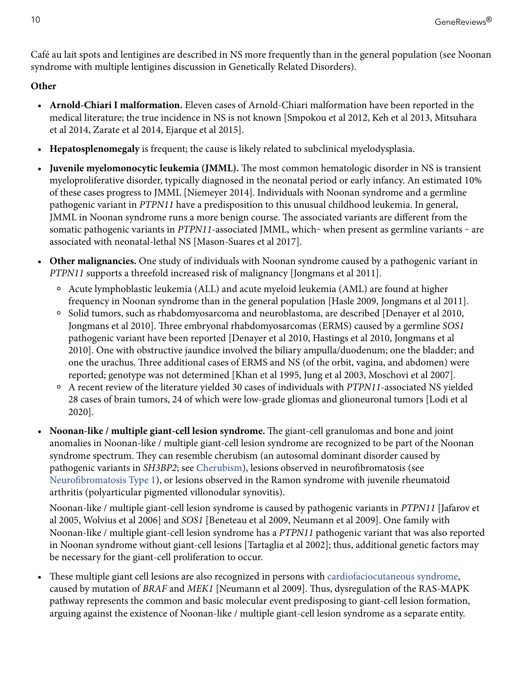Café au lait spots and lentigines are described in NS more frequently than in the general population (see Noonan syndrome with multiple lentigines discussion in [Genetically Related Disorders\)](#page-12-0).

#### **Other**

- **Arnold-Chiari I malformation.** Eleven cases of Arnold-Chiari malformation have been reported in the medical literature; the true incidence in NS is not known [\[Smpokou et al 2012](#page-36-0), [Keh et al 2013](#page-32-0), [Mitsuhara](#page-33-0) [et al 2014,](#page-33-0) [Zarate et al 2014](#page-38-0), [Ejarque et al 2015\]](#page-30-0).
- **Hepatosplenomegaly** is frequent; the cause is likely related to subclinical myelodysplasia.
- **Juvenile myelomonocytic leukemia (JMML).** The most common hematologic disorder in NS is transient myeloproliferative disorder, typically diagnosed in the neonatal period or early infancy. An estimated 10% of these cases progress to JMML [\[Niemeyer 2014\]](#page-34-0). Individuals with Noonan syndrome and a germline pathogenic variant in *PTPN11* have a predisposition to this unusual childhood leukemia. In general, JMML in Noonan syndrome runs a more benign course. The associated variants are different from the somatic pathogenic variants in *PTPN11*-associated JMML, which-when present as germline variants - are associated with neonatal-lethal NS [\[Mason-Suares et al 2017\]](#page-33-0).
- **Other malignancies.** One study of individuals with Noonan syndrome caused by a pathogenic variant in *PTPN11* supports a threefold increased risk of malignancy [[Jongmans et al 2011\]](#page-32-0).
	- ⚬ Acute lymphoblastic leukemia (ALL) and acute myeloid leukemia (AML) are found at higher frequency in Noonan syndrome than in the general population [\[Hasle 2009,](#page-31-0) [Jongmans et al 2011](#page-32-0)].
	- ⚬ Solid tumors, such as rhabdomyosarcoma and neuroblastoma, are described [[Denayer et al 2010,](#page-30-0) [Jongmans et al 2010](#page-31-0)]. Three embryonal rhabdomyosarcomas (ERMS) caused by a germline *SOS1*  pathogenic variant have been reported [[Denayer et al 2010,](#page-30-0) [Hastings et al 2010](#page-31-0), [Jongmans et al](#page-31-0) [2010](#page-31-0)]. One with obstructive jaundice involved the biliary ampulla/duodenum; one the bladder; and one the urachus. Three additional cases of ERMS and NS (of the orbit, vagina, and abdomen) were reported; genotype was not determined [[Khan et al 1995](#page-32-0), [Jung et al 2003,](#page-32-0) [Moschovi et al 2007\]](#page-33-0).
	- ⚬ A recent review of the literature yielded 30 cases of individuals with *PTPN11*-associated NS yielded 28 cases of brain tumors, 24 of which were low-grade gliomas and glioneuronal tumors [[Lodi et al](#page-33-0) [2020](#page-33-0)].
- **Noonan-like / multiple giant-cell lesion syndrome.** The giant-cell granulomas and bone and joint anomalies in Noonan-like / multiple giant-cell lesion syndrome are recognized to be part of the Noonan syndrome spectrum. They can resemble cherubism (an autosomal dominant disorder caused by pathogenic variants in *SH3BP2*; see [Cherubism\)](https://www.ncbi.nlm.nih.gov/books/n/gene/cherubism/), lesions observed in neurofibromatosis (see [Neurofibromatosis Type 1\)](https://www.ncbi.nlm.nih.gov/books/n/gene/nf1/), or lesions observed in the Ramon syndrome with juvenile rheumatoid arthritis (polyarticular pigmented villonodular synovitis).

Noonan-like / multiple giant-cell lesion syndrome is caused by pathogenic variants in *PTPN11* [[Jafarov et](#page-31-0)  [al 2005](#page-31-0), [Wolvius et al 2006\]](#page-37-0) and *SOS1* [[Beneteau et al 2009](#page-29-0), [Neumann et al 2009](#page-34-0)]. One family with Noonan-like / multiple giant-cell lesion syndrome has a *PTPN11* pathogenic variant that was also reported in Noonan syndrome without giant-cell lesions [\[Tartaglia et al 2002\]](#page-36-0); thus, additional genetic factors may be necessary for the giant-cell proliferation to occur.

• These multiple giant cell lesions are also recognized in persons with [cardiofaciocutaneous syndrome](https://www.ncbi.nlm.nih.gov/books/n/gene/cfc/), caused by mutation of *BRAF* and *MEK1* [[Neumann et al 2009](#page-34-0)]. Thus, dysregulation of the RAS-MAPK pathway represents the common and basic molecular event predisposing to giant-cell lesion formation, arguing against the existence of Noonan-like / multiple giant-cell lesion syndrome as a separate entity.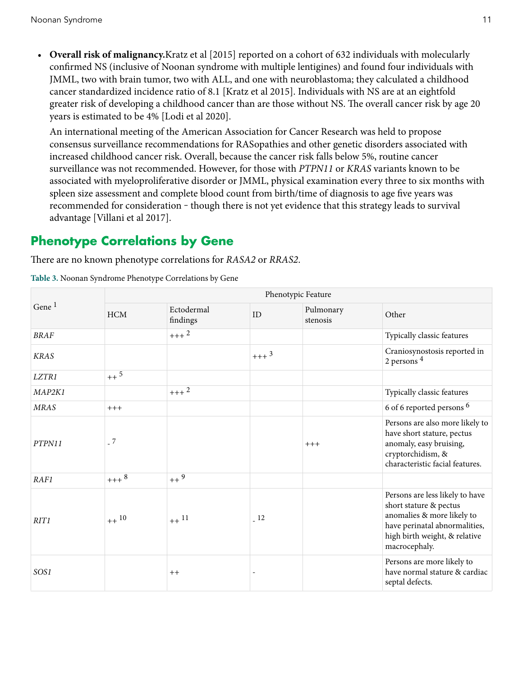• **Overall risk of malignancy.**[Kratz et al \[2015\]](#page-32-0) reported on a cohort of 632 individuals with molecularly confirmed NS (inclusive of Noonan syndrome with multiple lentigines) and found four individuals with JMML, two with brain tumor, two with ALL, and one with neuroblastoma; they calculated a childhood cancer standardized incidence ratio of 8.1 [[Kratz et al 2015](#page-32-0)]. Individuals with NS are at an eightfold greater risk of developing a childhood cancer than are those without NS. The overall cancer risk by age 20 years is estimated to be 4% [\[Lodi et al 2020\]](#page-33-0).

An international meeting of the American Association for Cancer Research was held to propose consensus surveillance recommendations for RASopathies and other genetic disorders associated with increased childhood cancer risk. Overall, because the cancer risk falls below 5%, routine cancer surveillance was not recommended. However, for those with *PTPN11* or *KRAS* variants known to be associated with myeloproliferative disorder or JMML, physical examination every three to six months with spleen size assessment and complete blood count from birth/time of diagnosis to age five years was recommended for consideration – though there is not yet evidence that this strategy leads to survival advantage [\[Villani et al 2017\]](#page-37-0).

### **Phenotype Correlations by Gene**

There are no known phenotype correlations for *RASA2* or *RRAS2*.

| Gene <sup>1</sup> | Phenotypic Feature |                        |        |                       |                                                                                                                                                                            |  |  |
|-------------------|--------------------|------------------------|--------|-----------------------|----------------------------------------------------------------------------------------------------------------------------------------------------------------------------|--|--|
|                   | HCM                | Ectodermal<br>findings | ID     | Pulmonary<br>stenosis | Other                                                                                                                                                                      |  |  |
| <b>BRAF</b>       |                    | $+++2$                 |        |                       | Typically classic features                                                                                                                                                 |  |  |
| <b>KRAS</b>       |                    |                        | $+++3$ |                       | Craniosynostosis reported in<br>2 persons 4                                                                                                                                |  |  |
| LZTR1             | $++^5$             |                        |        |                       |                                                                                                                                                                            |  |  |
| MAP2K1            |                    | $+++2$                 |        |                       | Typically classic features                                                                                                                                                 |  |  |
| <b>MRAS</b>       | $+++$              |                        |        |                       | 6 of 6 reported persons <sup>6</sup>                                                                                                                                       |  |  |
| PTPN11            | $-7$               |                        |        | $+++$                 | Persons are also more likely to<br>have short stature, pectus<br>anomaly, easy bruising,<br>cryptorchidism, &<br>characteristic facial features.                           |  |  |
| RAF1              | $+++8$             | $++^9$                 |        |                       |                                                                                                                                                                            |  |  |
| RIT1              | $++$ 10            | $++$ <sup>11</sup>     | 12     |                       | Persons are less likely to have<br>short stature & pectus<br>anomalies & more likely to<br>have perinatal abnormalities,<br>high birth weight, & relative<br>macrocephaly. |  |  |
| SOS1              |                    | $++$                   |        |                       | Persons are more likely to<br>have normal stature & cardiac<br>septal defects.                                                                                             |  |  |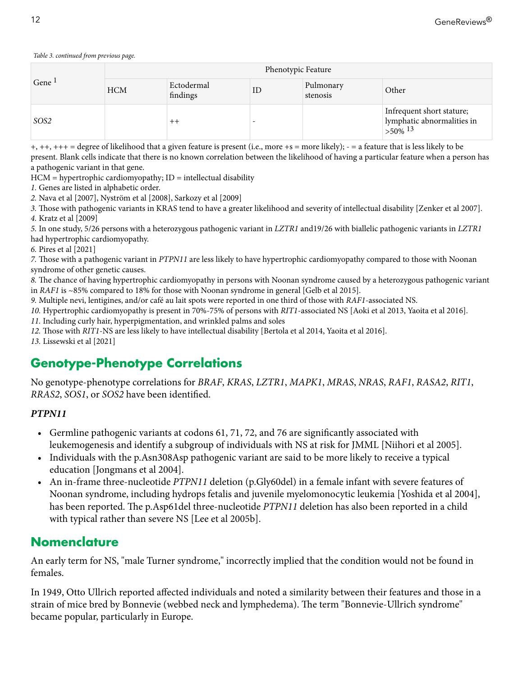#### *Table 3. continued from previous page.*

| Gene <sup>1</sup> | Phenotypic Feature |                        |    |                       |                                                                                  |
|-------------------|--------------------|------------------------|----|-----------------------|----------------------------------------------------------------------------------|
|                   | <b>HCM</b>         | Ectodermal<br>findings | ID | Pulmonary<br>stenosis | Other                                                                            |
| SOS <sub>2</sub>  |                    | $^{++}$                |    |                       | Infrequent short stature;<br>lymphatic abnormalities in<br>$>50\%$ <sup>13</sup> |

+, ++, +++ = degree of likelihood that a given feature is present (i.e., more +s = more likely); - = a feature that is less likely to be present. Blank cells indicate that there is no known correlation between the likelihood of having a particular feature when a person has a pathogenic variant in that gene.

 $HCM =$  hypertrophic cardiomyopathy;  $ID =$  intellectual disability

*1.* Genes are listed in alphabetic order.

*2.* [Nava et al \[2007\]](#page-34-0), [Nyström et al \[2008\],](#page-34-0) [Sarkozy et al \[2009\]](#page-36-0)

*3.* Those with pathogenic variants in KRAS tend to have a greater likelihood and severity of intellectual disability [\[Zenker et al 2007](#page-38-0)]. *4.* [Kratz et al \[2009\]](#page-32-0)

*5.* In one study, 5/26 persons with a heterozygous pathogenic variant in *LZTR1* and19/26 with biallelic pathogenic variants in *LZTR1*  had hypertrophic cardiomyopathy.

*6.* [Pires et al \[2021\]](#page-35-0)

*7.* Those with a pathogenic variant in *PTPN11* are less likely to have hypertrophic cardiomyopathy compared to those with Noonan syndrome of other genetic causes.

*8.* The chance of having hypertrophic cardiomyopathy in persons with Noonan syndrome caused by a heterozygous pathogenic variant in *RAF1* is ~85% compared to 18% for those with Noonan syndrome in general [[Gelb et al 2015\]](#page-30-0).

*9.* Multiple nevi, lentigines, and/or café au lait spots were reported in one third of those with *RAF1*-associated NS.

*10.* Hypertrophic cardiomyopathy is present in 70%-75% of persons with *RIT1*-associated NS [\[Aoki et al 2013,](#page-28-0) [Yaoita et al 2016](#page-37-0)].

*11.* Including curly hair, hyperpigmentation, and wrinkled palms and soles

*12.* Those with *RIT1*-NS are less likely to have intellectual disability [[Bertola et al 2014](#page-29-0), [Yaoita et al 2016](#page-37-0)].

*13.* [Lissewski et al \[2021\]](#page-32-0)

## **Genotype-Phenotype Correlations**

No genotype-phenotype correlations for *BRAF*, *KRAS*, *LZTR1*, *MAPK1*, *MRAS*, *NRAS*, *RAF1*, *RASA2*, *RIT1*, *RRAS2*, *SOS1*, or *SOS2* have been identified.

#### *PTPN11*

- Germline pathogenic variants at codons 61, 71, 72, and 76 are significantly associated with leukemogenesis and identify a subgroup of individuals with NS at risk for JMML [\[Niihori et al 2005\]](#page-34-0).
- Individuals with the [p.Asn308Asp](#page-25-0) pathogenic variant are said to be more likely to receive a typical education [\[Jongmans et al 2004](#page-31-0)].
- An in-frame three-nucleotide *PTPN11* deletion [\(p.Gly60del](#page-25-0)) in a female infant with severe features of Noonan syndrome, including hydrops fetalis and juvenile myelomonocytic leukemia [\[Yoshida et al 2004](#page-37-0)], has been reported. The [p.Asp61del](#page-25-0) three-nucleotide *PTPN11* deletion has also been reported in a child with typical rather than severe NS [\[Lee et al 2005b\]](#page-32-0).

### **Nomenclature**

An early term for NS, "male Turner syndrome," incorrectly implied that the condition would not be found in females.

In 1949, Otto Ullrich reported affected individuals and noted a similarity between their features and those in a strain of mice bred by Bonnevie (webbed neck and lymphedema). The term "Bonnevie-Ullrich syndrome" became popular, particularly in Europe.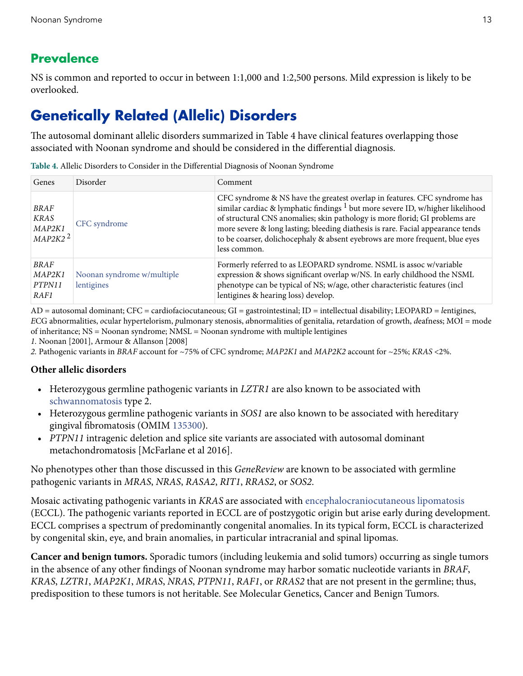### <span id="page-12-0"></span>**Prevalence**

NS is common and reported to occur in between 1:1,000 and 1:2,500 persons. Mild expression is likely to be overlooked.

# **Genetically Related (Allelic) Disorders**

The autosomal dominant allelic disorders summarized in Table 4 have clinical features overlapping those associated with Noonan syndrome and should be considered in the differential diagnosis.

**Table 4.** Allelic Disorders to Consider in the Differential Diagnosis of Noonan Syndrome

| Genes                                                  | Disorder                                 | Comment                                                                                                                                                                                                                                                                                                                                                                                                                                  |
|--------------------------------------------------------|------------------------------------------|------------------------------------------------------------------------------------------------------------------------------------------------------------------------------------------------------------------------------------------------------------------------------------------------------------------------------------------------------------------------------------------------------------------------------------------|
| <b>BRAF</b><br>KRAS<br>MAP2K1<br>$MAP2K2$ <sup>2</sup> | CFC syndrome                             | CFC syndrome & NS have the greatest overlap in features. CFC syndrome has<br>similar cardiac & lymphatic findings <sup>1</sup> but more severe ID, w/higher likelihood<br>of structural CNS anomalies; skin pathology is more florid; GI problems are<br>more severe & long lasting; bleeding diathesis is rare. Facial appearance tends<br>to be coarser, dolichocephaly & absent eyebrows are more frequent, blue eyes<br>less common. |
| BRAF<br>MAP2K1<br>PTPN11<br>RAF1                       | Noonan syndrome w/multiple<br>lentigines | Formerly referred to as LEOPARD syndrome. NSML is assoc w/variable<br>expression & shows significant overlap w/NS. In early childhood the NSML<br>phenotype can be typical of NS; w/age, other characteristic features (incl<br>lentigines & hearing loss) develop.                                                                                                                                                                      |

AD = autosomal dominant; CFC = cardiofaciocutaneous; GI = gastrointestinal; ID = intellectual disability; LEOPARD = *l*entigines, *E*CG abnormalities, *o*cular hypertelorism, *p*ulmonary stenosis, *a*bnormalities of genitalia, *r*etardation of growth, *d*eafness; MOI = mode of inheritance; NS = Noonan syndrome; NMSL = Noonan syndrome with multiple lentigines

*1.* [Noonan \[2001\]](#page-34-0), [Armour & Allanson \[2008\]](#page-28-0)

*2.* Pathogenic variants in *BRAF* account for ~75% of CFC syndrome; *MAP2K1* and *MAP2K2* account for ~25%; *KRAS* <2%.

#### **Other allelic disorders**

- Heterozygous germline pathogenic variants in *LZTR1* are also known to be associated with [schwannomatosis](https://www.ncbi.nlm.nih.gov/books/n/gene/schwann/) type 2.
- Heterozygous germline pathogenic variants in *SOS1* are also known to be associated with hereditary gingival fibromatosis (OMIM [135300\)](https://omim.org/entry/135300).
- *PTPN11* intragenic deletion and splice site variants are associated with autosomal dominant metachondromatosis [[McFarlane et al 2016](#page-33-0)].

No phenotypes other than those discussed in this *GeneReview* are known to be associated with germline pathogenic variants in *MRAS*, *NRAS*, *RASA2*, *RIT1*, *RRAS2*, or *SOS2*.

Mosaic activating pathogenic variants in *KRAS* are associated with [encephalocraniocutaneous lipomatosis](https://www.ncbi.nlm.nih.gov/books/n/gene/eccl/)  (ECCL). The pathogenic variants reported in ECCL are of postzygotic origin but arise early during development. ECCL comprises a spectrum of predominantly congenital anomalies. In its typical form, ECCL is characterized by congenital skin, eye, and brain anomalies, in particular intracranial and spinal lipomas.

**Cancer and benign tumors.** Sporadic tumors (including leukemia and solid tumors) occurring as single tumors in the absence of any other findings of Noonan syndrome may harbor somatic nucleotide variants in *BRAF*, *KRAS*, *LZTR1*, *MAP2K1*, *MRAS*, *NRAS*, *PTPN11*, *RAF1*, or *RRAS2* that are not present in the germline; thus, predisposition to these tumors is not heritable. See Molecular Genetics, [Cancer and Benign Tumors.](#page-26-0)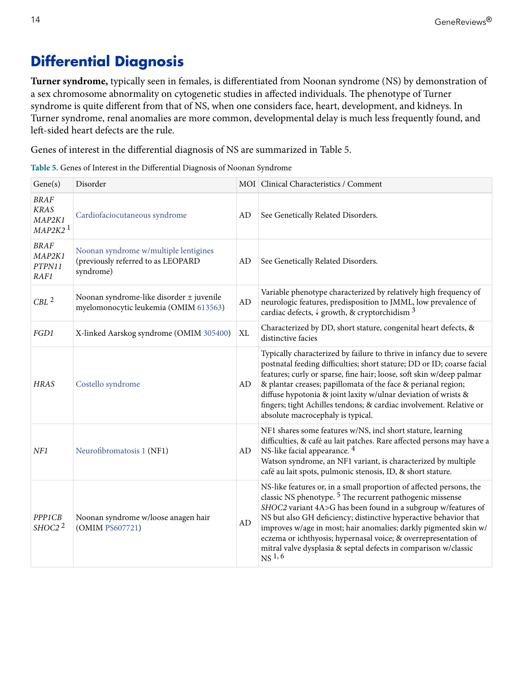# <span id="page-13-0"></span>**Differential Diagnosis**

**Turner syndrome,** typically seen in females, is differentiated from Noonan syndrome (NS) by demonstration of a sex chromosome abnormality on cytogenetic studies in affected individuals. The phenotype of Turner syndrome is quite different from that of NS, when one considers face, heart, development, and kidneys. In Turner syndrome, renal anomalies are more common, developmental delay is much less frequently found, and left-sided heart defects are the rule.

Genes of interest in the differential diagnosis of NS are summarized in Table 5.

| Table 5. Genes of Interest in the Differential Diagnosis of Noonan Syndrome |  |  |
|-----------------------------------------------------------------------------|--|--|
|                                                                             |  |  |
|                                                                             |  |  |

| Gene(s)                                                       | Disorder                                                                                 |    | MOI Clinical Characteristics / Comment                                                                                                                                                                                                                                                                                                                                                                                                                                                                          |
|---------------------------------------------------------------|------------------------------------------------------------------------------------------|----|-----------------------------------------------------------------------------------------------------------------------------------------------------------------------------------------------------------------------------------------------------------------------------------------------------------------------------------------------------------------------------------------------------------------------------------------------------------------------------------------------------------------|
| <b>BRAF</b><br><b>KRAS</b><br>MAP2K1<br>$MAP2K2$ <sup>1</sup> | Cardiofaciocutaneous syndrome                                                            | AD | See Genetically Related Disorders.                                                                                                                                                                                                                                                                                                                                                                                                                                                                              |
| BRAF<br>MAP2K1<br>PTPN11<br>RAF1                              | Noonan syndrome w/multiple lentigines<br>(previously referred to as LEOPARD<br>syndrome) | AD | See Genetically Related Disorders.                                                                                                                                                                                                                                                                                                                                                                                                                                                                              |
| CBL <sup>2</sup>                                              | Noonan syndrome-like disorder ± juvenile<br>myelomonocytic leukemia (OMIM 613563)        | AD | Variable phenotype characterized by relatively high frequency of<br>neurologic features, predisposition to JMML, low prevalence of<br>cardiac defects, $\sqrt{ }$ growth, & cryptorchidism $^3$                                                                                                                                                                                                                                                                                                                 |
| FGD1                                                          | X-linked Aarskog syndrome (OMIM 305400)                                                  | XL | Characterized by DD, short stature, congenital heart defects, &<br>distinctive facies                                                                                                                                                                                                                                                                                                                                                                                                                           |
| <b>HRAS</b>                                                   | Costello syndrome                                                                        | AD | Typically characterized by failure to thrive in infancy due to severe<br>postnatal feeding difficulties; short stature; DD or ID; coarse facial<br>features; curly or sparse, fine hair; loose, soft skin w/deep palmar<br>& plantar creases; papillomata of the face & perianal region;<br>diffuse hypotonia & joint laxity w/ulnar deviation of wrists &<br>fingers; tight Achilles tendons; & cardiac involvement. Relative or<br>absolute macrocephaly is typical.                                          |
| NF1                                                           | Neurofibromatosis 1 (NF1)                                                                | AD | NF1 shares some features w/NS, incl short stature, learning<br>difficulties, & café au lait patches. Rare affected persons may have a<br>NS-like facial appearance. 4<br>Watson syndrome, an NF1 variant, is characterized by multiple<br>café au lait spots, pulmonic stenosis, ID, & short stature.                                                                                                                                                                                                           |
| <b>PPP1CB</b><br>SHOC <sub>2</sub> $2$                        | Noonan syndrome w/loose anagen hair<br>(OMIM PS607721)                                   | AD | NS-like features or, in a small proportion of affected persons, the<br>classic NS phenotype. <sup>5</sup> The recurrent pathogenic missense<br>SHOC2 variant 4A>G has been found in a subgroup w/features of<br>NS but also GH deficiency; distinctive hyperactive behavior that<br>improves w/age in most; hair anomalies; darkly pigmented skin w/<br>eczema or ichthyosis; hypernasal voice; & overrepresentation of<br>mitral valve dysplasia & septal defects in comparison w/classic<br>NS <sup>1,6</sup> |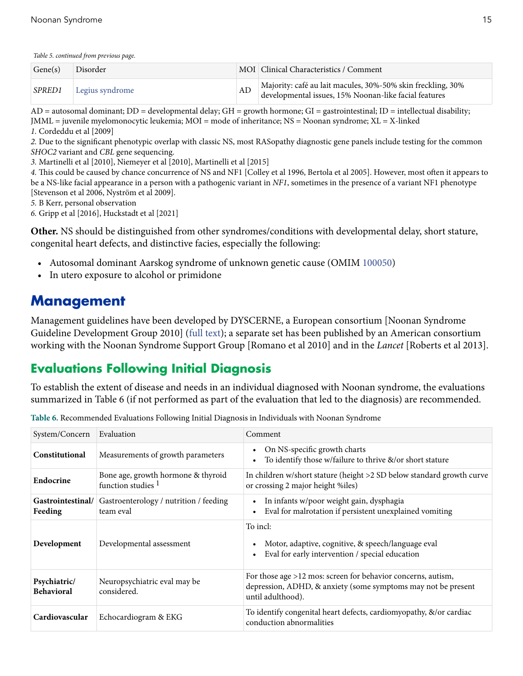<span id="page-14-0"></span>*Table 5. continued from previous page.*

| Gene(s)       | Disorder        |    | MOI Clinical Characteristics / Comment                                                                            |
|---------------|-----------------|----|-------------------------------------------------------------------------------------------------------------------|
| <i>SPRED1</i> | Legius syndrome | AD | Majority: café au lait macules, 30%-50% skin freckling, 30% developmental issues, 15% Noonan-like facial features |

 $AD =$  autosomal dominant;  $DD =$  developmental delay;  $GH =$  growth hormone;  $GI =$  gastrointestinal;  $ID =$  intellectual disability; JMML = juvenile myelomonocytic leukemia; MOI = mode of inheritance; NS = Noonan syndrome; XL = X-linked

*1.* [Cordeddu et al \[2009\]](#page-30-0)

*2.* Due to the significant phenotypic overlap with classic NS, most RASopathy diagnostic gene panels include testing for the common *SHOC2* variant and *CBL* gene sequencing.

*3.* [Martinelli et al \[2010\],](#page-33-0) [Niemeyer et al \[2010\]](#page-34-0), [Martinelli et al \[2015\]](#page-33-0)

*4.* This could be caused by chance concurrence of NS and NF1 [[Colley et al 1996, Bertola et al 2005\]](#page-29-0). However, most often it appears to be a NS-like facial appearance in a person with a pathogenic variant in *NF1*, sometimes in the presence of a variant NF1 phenotype [\[Stevenson et al 2006,](#page-36-0) [Nyström et al 2009\]](#page-34-0).

*5.* B Kerr, personal observation

*6.* [Gripp et al \[2016\]](#page-31-0), [Huckstadt et al \[2021\]](#page-31-0)

**Other.** NS should be distinguished from other syndromes/conditions with developmental delay, short stature, congenital heart defects, and distinctive facies, especially the following:

- Autosomal dominant Aarskog syndrome of unknown genetic cause (OMIM [100050\)](https://omim.org/entry/100050)
- In utero exposure to alcohol or primidone

### **Management**

Management guidelines have been developed by DYSCERNE, a European consortium [\[Noonan Syndrome](#page-28-0) [Guideline Development Group 2010](#page-28-0)] [\(full text](https://rasopathiesnet.org/wp-content/uploads/2014/01/265_Noonan_Guidelines.pdf)); a separate set has been published by an American consortium working with the Noonan Syndrome Support Group [[Romano et al 2010](#page-28-0)] and in the *Lancet* [\[Roberts et al 2013](#page-28-0)].

## **Evaluations Following Initial Diagnosis**

To establish the extent of disease and needs in an individual diagnosed with Noonan syndrome, the evaluations summarized in Table 6 (if not performed as part of the evaluation that led to the diagnosis) are recommended.

| System/Concern                    | Evaluation                                               | Comment                                                                                                                                              |
|-----------------------------------|----------------------------------------------------------|------------------------------------------------------------------------------------------------------------------------------------------------------|
| Constitutional                    | Measurements of growth parameters                        | On NS-specific growth charts<br>To identify those w/failure to thrive &/or short stature                                                             |
| Endocrine                         | Bone age, growth hormone & thyroid<br>function studies 1 | In children w/short stature (height >2 SD below standard growth curve<br>or crossing 2 major height %iles)                                           |
| Gastrointestinal/<br>Feeding      | Gastroenterology / nutrition / feeding<br>team eval      | In infants w/poor weight gain, dysphagia<br>Eval for malrotation if persistent unexplained vomiting                                                  |
| Development                       | Developmental assessment                                 | To incl:<br>Motor, adaptive, cognitive, & speech/language eval<br>Eval for early intervention / special education                                    |
| Psychiatric/<br><b>Behavioral</b> | Neuropsychiatric eval may be<br>considered.              | For those age $>12$ mos: screen for behavior concerns, autism,<br>depression, ADHD, & anxiety (some symptoms may not be present<br>until adulthood). |
| Cardiovascular                    | Echocardiogram & EKG                                     | To identify congenital heart defects, cardiomyopathy, &/or cardiac<br>conduction abnormalities                                                       |

**Table 6.** Recommended Evaluations Following Initial Diagnosis in Individuals with Noonan Syndrome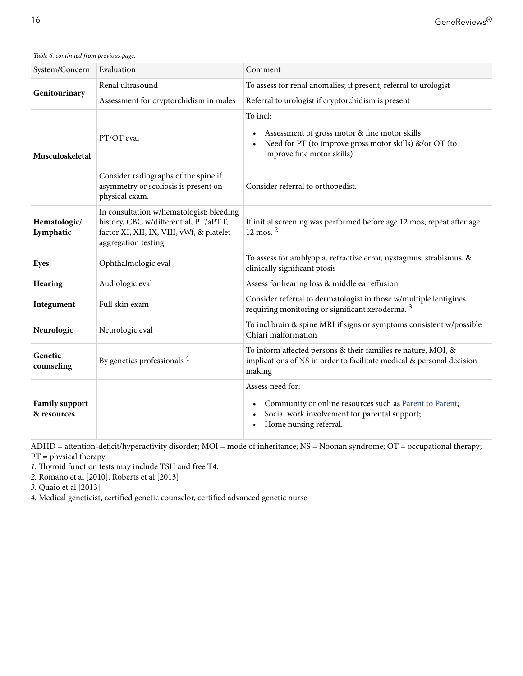*Table 6. continued from previous page.*

| System/Concern                       | Evaluation                                                                                                                                            | Comment                                                                                                                                                |  |  |
|--------------------------------------|-------------------------------------------------------------------------------------------------------------------------------------------------------|--------------------------------------------------------------------------------------------------------------------------------------------------------|--|--|
|                                      | Renal ultrasound                                                                                                                                      | To assess for renal anomalies; if present, referral to urologist                                                                                       |  |  |
| Genitourinary                        | Assessment for cryptorchidism in males                                                                                                                | Referral to urologist if cryptorchidism is present                                                                                                     |  |  |
| Musculoskeletal                      | PT/OT eval                                                                                                                                            | To incl:<br>Assessment of gross motor & fine motor skills<br>Need for PT (to improve gross motor skills) &/or OT (to<br>improve fine motor skills)     |  |  |
|                                      | Consider radiographs of the spine if<br>asymmetry or scoliosis is present on<br>physical exam.                                                        | Consider referral to orthopedist.                                                                                                                      |  |  |
| Hematologic/<br>Lymphatic            | In consultation w/hematologist: bleeding<br>history, CBC w/differential, PT/aPTT,<br>factor XI, XII, IX, VIII, vWf, & platelet<br>aggregation testing | If initial screening was performed before age 12 mos, repeat after age<br>$12 \text{ mos.}^2$                                                          |  |  |
| Eyes                                 | Ophthalmologic eval                                                                                                                                   | To assess for amblyopia, refractive error, nystagmus, strabismus, &<br>clinically significant ptosis                                                   |  |  |
| Hearing                              | Audiologic eval                                                                                                                                       | Assess for hearing loss & middle ear effusion.                                                                                                         |  |  |
| Integument                           | Full skin exam                                                                                                                                        | Consider referral to dermatologist in those w/multiple lentigines<br>requiring monitoring or significant xeroderma. <sup>3</sup>                       |  |  |
| Neurologic                           | Neurologic eval                                                                                                                                       | To incl brain & spine MRI if signs or symptoms consistent w/possible<br>Chiari malformation                                                            |  |  |
| Genetic<br>counseling                | By genetics professionals 4                                                                                                                           | To inform affected persons & their families re nature, MOI, &<br>implications of NS in order to facilitate medical & personal decision<br>making       |  |  |
| <b>Family support</b><br>& resources |                                                                                                                                                       | Assess need for:<br>Community or online resources such as Parent to Parent;<br>Social work involvement for parental support;<br>Home nursing referral. |  |  |

ADHD = attention-deficit/hyperactivity disorder; MOI = mode of inheritance; NS = Noonan syndrome; OT = occupational therapy; PT = physical therapy

*1.* Thyroid function tests may include TSH and free T4.

*2.* [Romano et al \[2010\], Roberts et al \[2013\]](#page-28-0)

*3.* [Quaio et al \[2013\]](#page-35-0)

*4.* Medical geneticist, certified genetic counselor, certified advanced genetic nurse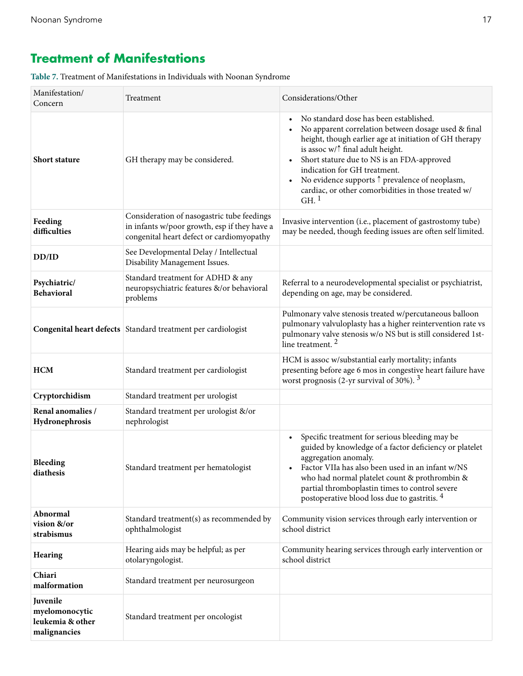# **Treatment of Manifestations**

**Table 7.** Treatment of Manifestations in Individuals with Noonan Syndrome

| Manifestation/<br>Concern                                      | Treatment                                                                                                                               | Considerations/Other                                                                                                                                                                                                                                                                                                                                                                                                                    |
|----------------------------------------------------------------|-----------------------------------------------------------------------------------------------------------------------------------------|-----------------------------------------------------------------------------------------------------------------------------------------------------------------------------------------------------------------------------------------------------------------------------------------------------------------------------------------------------------------------------------------------------------------------------------------|
| <b>Short stature</b>                                           | GH therapy may be considered.                                                                                                           | No standard dose has been established.<br>No apparent correlation between dosage used & final<br>height, though earlier age at initiation of GH therapy<br>is assoc $w/\uparrow$ final adult height.<br>Short stature due to NS is an FDA-approved<br>indication for GH treatment.<br>No evidence supports $\uparrow$ prevalence of neoplasm,<br>$\bullet$<br>cardiac, or other comorbidities in those treated w/<br>$GH.$ <sup>1</sup> |
| Feeding<br>difficulties                                        | Consideration of nasogastric tube feedings<br>in infants w/poor growth, esp if they have a<br>congenital heart defect or cardiomyopathy | Invasive intervention (i.e., placement of gastrostomy tube)<br>may be needed, though feeding issues are often self limited.                                                                                                                                                                                                                                                                                                             |
| DD/ID                                                          | See Developmental Delay / Intellectual<br>Disability Management Issues.                                                                 |                                                                                                                                                                                                                                                                                                                                                                                                                                         |
| Psychiatric/<br><b>Behavioral</b>                              | Standard treatment for ADHD & any<br>neuropsychiatric features &/or behavioral<br>problems                                              | Referral to a neurodevelopmental specialist or psychiatrist,<br>depending on age, may be considered.                                                                                                                                                                                                                                                                                                                                    |
| Congenital heart defects   Standard treatment per cardiologist |                                                                                                                                         | Pulmonary valve stenosis treated w/percutaneous balloon<br>pulmonary valvuloplasty has a higher reintervention rate vs<br>pulmonary valve stenosis w/o NS but is still considered 1st-<br>line treatment. <sup>2</sup>                                                                                                                                                                                                                  |
| <b>HCM</b><br>Standard treatment per cardiologist              |                                                                                                                                         | HCM is assoc w/substantial early mortality; infants<br>presenting before age 6 mos in congestive heart failure have<br>worst prognosis (2-yr survival of 30%). $3$                                                                                                                                                                                                                                                                      |
| Cryptorchidism                                                 | Standard treatment per urologist                                                                                                        |                                                                                                                                                                                                                                                                                                                                                                                                                                         |
| Renal anomalies /<br>Hydronephrosis                            | Standard treatment per urologist &/or<br>nephrologist                                                                                   |                                                                                                                                                                                                                                                                                                                                                                                                                                         |
| <b>Bleeding</b><br>diathesis                                   | Standard treatment per hematologist                                                                                                     | Specific treatment for serious bleeding may be<br>guided by knowledge of a factor deficiency or platelet<br>aggregation anomaly.<br>• Factor VIIa has also been used in an infant w/NS<br>who had normal platelet count & prothrombin &<br>partial thromboplastin times to control severe<br>postoperative blood loss due to gastritis. <sup>4</sup>                                                                                    |
| Abnormal<br>vision &/or<br>strabismus                          | Standard treatment(s) as recommended by<br>ophthalmologist                                                                              | Community vision services through early intervention or<br>school district                                                                                                                                                                                                                                                                                                                                                              |
| Hearing                                                        | Hearing aids may be helpful; as per<br>otolaryngologist.                                                                                | Community hearing services through early intervention or<br>school district                                                                                                                                                                                                                                                                                                                                                             |
| Chiari<br>malformation                                         | Standard treatment per neurosurgeon                                                                                                     |                                                                                                                                                                                                                                                                                                                                                                                                                                         |
| Juvenile<br>myelomonocytic<br>leukemia & other<br>malignancies | Standard treatment per oncologist                                                                                                       |                                                                                                                                                                                                                                                                                                                                                                                                                                         |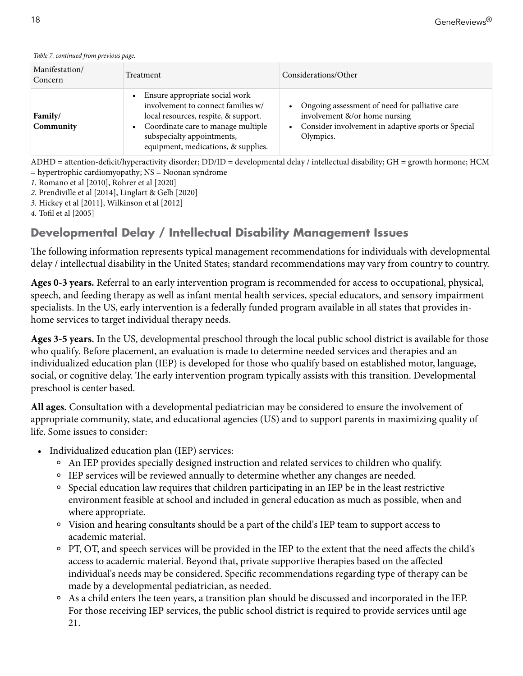| Manifestation/<br>Concern | Treatment                                                                                                                                                                                                                              | Considerations/Other                                                                                                                                 |
|---------------------------|----------------------------------------------------------------------------------------------------------------------------------------------------------------------------------------------------------------------------------------|------------------------------------------------------------------------------------------------------------------------------------------------------|
| Family/<br>Community      | Ensure appropriate social work<br>$\bullet$<br>involvement to connect families w/<br>local resources, respite, & support.<br>• Coordinate care to manage multiple<br>subspecialty appointments,<br>equipment, medications, & supplies. | Ongoing assessment of need for palliative care<br>involvement &/or home nursing<br>• Consider involvement in adaptive sports or Special<br>Olympics. |

<span id="page-17-0"></span>*Table 7. continued from previous page.*

ADHD = attention-deficit/hyperactivity disorder; DD/ID = developmental delay / intellectual disability; GH = growth hormone; HCM = hypertrophic cardiomyopathy; NS = Noonan syndrome

*1.* [Romano et al \[2010\],](#page-28-0) [Rohrer et al \[2020\]](#page-35-0)

*2.* [Prendiville et al \[2014\],](#page-35-0) [Linglart & Gelb \[2020\]](#page-32-0)

*3.* [Hickey et al \[2011\],](#page-31-0) [Wilkinson et al \[2012\]](#page-37-0)

*4.* [Tofil et al \[2005\]](#page-37-0)

### **Developmental Delay / Intellectual Disability Management Issues**

The following information represents typical management recommendations for individuals with developmental delay / intellectual disability in the United States; standard recommendations may vary from country to country.

**Ages 0-3 years.** Referral to an early intervention program is recommended for access to occupational, physical, speech, and feeding therapy as well as infant mental health services, special educators, and sensory impairment specialists. In the US, early intervention is a federally funded program available in all states that provides inhome services to target individual therapy needs.

**Ages 3-5 years.** In the US, developmental preschool through the local public school district is available for those who qualify. Before placement, an evaluation is made to determine needed services and therapies and an individualized education plan (IEP) is developed for those who qualify based on established motor, language, social, or cognitive delay. The early intervention program typically assists with this transition. Developmental preschool is center based.

**All ages.** Consultation with a developmental pediatrician may be considered to ensure the involvement of appropriate community, state, and educational agencies (US) and to support parents in maximizing quality of life. Some issues to consider:

- Individualized education plan (IEP) services:
	- ⚬ An IEP provides specially designed instruction and related services to children who qualify.
	- ⚬ IEP services will be reviewed annually to determine whether any changes are needed.
	- ⚬ Special education law requires that children participating in an IEP be in the least restrictive environment feasible at school and included in general education as much as possible, when and where appropriate.
	- ⚬ Vision and hearing consultants should be a part of the child's IEP team to support access to academic material.
	- ⚬ PT, OT, and speech services will be provided in the IEP to the extent that the need affects the child's access to academic material. Beyond that, private supportive therapies based on the affected individual's needs may be considered. Specific recommendations regarding type of therapy can be made by a developmental pediatrician, as needed.
	- ⚬ As a child enters the teen years, a transition plan should be discussed and incorporated in the IEP. For those receiving IEP services, the public school district is required to provide services until age 21.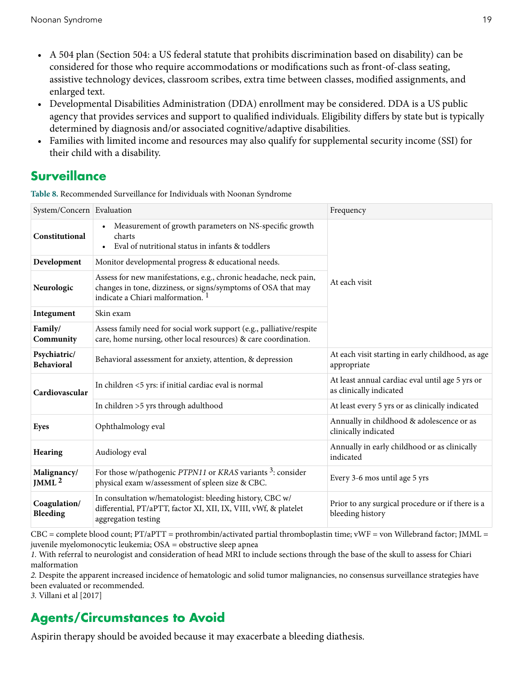- A 504 plan (Section 504: a US federal statute that prohibits discrimination based on disability) can be considered for those who require accommodations or modifications such as front-of-class seating, assistive technology devices, classroom scribes, extra time between classes, modified assignments, and enlarged text.
- Developmental Disabilities Administration (DDA) enrollment may be considered. DDA is a US public agency that provides services and support to qualified individuals. Eligibility differs by state but is typically determined by diagnosis and/or associated cognitive/adaptive disabilities.
- Families with limited income and resources may also qualify for supplemental security income (SSI) for their child with a disability.

### **Surveillance**

**Table 8.** Recommended Surveillance for Individuals with Noonan Syndrome

| System/Concern Evaluation                                                                                                                                                                        |                                                                                                                                                     | Frequency                                                                  |  |
|--------------------------------------------------------------------------------------------------------------------------------------------------------------------------------------------------|-----------------------------------------------------------------------------------------------------------------------------------------------------|----------------------------------------------------------------------------|--|
| Constitutional                                                                                                                                                                                   | Measurement of growth parameters on NS-specific growth<br>$\bullet$<br>charts<br>Eval of nutritional status in infants & toddlers<br>$\bullet$      |                                                                            |  |
| Development                                                                                                                                                                                      | Monitor developmental progress & educational needs.                                                                                                 |                                                                            |  |
| Assess for new manifestations, e.g., chronic headache, neck pain,<br>changes in tone, dizziness, or signs/symptoms of OSA that may<br>Neurologic<br>indicate a Chiari malformation. <sup>1</sup> |                                                                                                                                                     | At each visit                                                              |  |
| Integument                                                                                                                                                                                       | Skin exam                                                                                                                                           |                                                                            |  |
| Family/<br>Community                                                                                                                                                                             | Assess family need for social work support (e.g., palliative/respite<br>care, home nursing, other local resources) & care coordination.             |                                                                            |  |
| Psychiatric/<br><b>Behavioral</b>                                                                                                                                                                | Behavioral assessment for anxiety, attention, & depression                                                                                          | At each visit starting in early childhood, as age<br>appropriate           |  |
| Cardiovascular                                                                                                                                                                                   | In children <5 yrs: if initial cardiac eval is normal                                                                                               | At least annual cardiac eval until age 5 yrs or<br>as clinically indicated |  |
|                                                                                                                                                                                                  | In children >5 yrs through adulthood                                                                                                                | At least every 5 yrs or as clinically indicated                            |  |
| <b>Eyes</b>                                                                                                                                                                                      | Ophthalmology eval                                                                                                                                  | Annually in childhood & adolescence or as<br>clinically indicated          |  |
| Hearing                                                                                                                                                                                          | Audiology eval                                                                                                                                      | Annually in early childhood or as clinically<br>indicated                  |  |
| Malignancy/<br>JMML $^2$                                                                                                                                                                         | For those w/pathogenic PTPN11 or KRAS variants <sup>3</sup> : consider<br>physical exam w/assessment of spleen size & CBC.                          | Every 3-6 mos until age 5 yrs                                              |  |
| Coagulation/<br>Bleeding                                                                                                                                                                         | In consultation w/hematologist: bleeding history, CBC w/<br>differential, PT/aPTT, factor XI, XII, IX, VIII, vWf, & platelet<br>aggregation testing | Prior to any surgical procedure or if there is a<br>bleeding history       |  |

 $CBC = complete blood count; PT/aPTT = protonrombin/activated partial chromboplastin time; vWF = von Willebrand factor; JMML =$ juvenile myelomonocytic leukemia; OSA = obstructive sleep apnea

*1.* With referral to neurologist and consideration of head MRI to include sections through the base of the skull to assess for Chiari malformation

*2.* Despite the apparent increased incidence of hematologic and solid tumor malignancies, no consensus surveillance strategies have been evaluated or recommended.

*3.* [Villani et al \[2017\]](#page-37-0)

# **Agents/Circumstances to Avoid**

Aspirin therapy should be avoided because it may exacerbate a bleeding diathesis.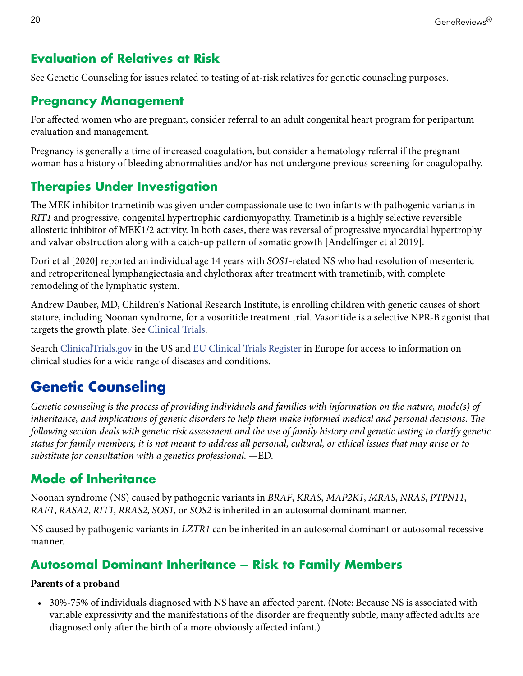### <span id="page-19-0"></span>**Evaluation of Relatives at Risk**

See [Genetic Counseling](#page-21-0) for issues related to testing of at-risk relatives for genetic counseling purposes.

### **Pregnancy Management**

For affected women who are pregnant, consider referral to an adult congenital heart program for peripartum evaluation and management.

Pregnancy is generally a time of increased coagulation, but consider a hematology referral if the pregnant woman has a history of bleeding abnormalities and/or has not undergone previous screening for coagulopathy.

### **Therapies Under Investigation**

The MEK inhibitor trametinib was given under compassionate use to two infants with pathogenic variants in *RIT1* and progressive, congenital hypertrophic cardiomyopathy. Trametinib is a highly selective reversible allosteric inhibitor of MEK1/2 activity. In both cases, there was reversal of progressive myocardial hypertrophy and valvar obstruction along with a catch-up pattern of somatic growth [[Andelfinger et al 2019](#page-28-0)].

[Dori et al \[2020\]](#page-30-0) reported an individual age 14 years with *SOS1*-related NS who had resolution of mesenteric and retroperitoneal lymphangiectasia and chylothorax after treatment with trametinib, with complete remodeling of the lymphatic system.

Andrew Dauber, MD, Children's National Research Institute, is enrolling children with genetic causes of short stature, including Noonan syndrome, for a vosoritide treatment trial. Vasoritide is a selective NPR-B agonist that targets the growth plate. See [Clinical Trials](https://clinicaltrials.gov/ct2/show/NCT04219007).

Search [ClinicalTrials.gov](https://clinicaltrials.gov/) in the US and [EU Clinical Trials Register](https://www.clinicaltrialsregister.eu/ctr-search/search) in Europe for access to information on clinical studies for a wide range of diseases and conditions.

# **Genetic Counseling**

*Genetic counseling is the process of providing individuals and families with information on the nature, mode(s) of inheritance, and implications of genetic disorders to help them make informed medical and personal decisions. The following section deals with genetic risk assessment and the use of family history and genetic testing to clarify genetic status for family members; it is not meant to address all personal, cultural, or ethical issues that may arise or to substitute for consultation with a genetics professional*. —ED.

## **Mode of Inheritance**

Noonan syndrome (NS) caused by pathogenic variants in *BRAF*, *KRAS*, *MAP2K1*, *MRAS*, *NRAS*, *PTPN11*, *RAF1*, *RASA2*, *RIT1*, *RRAS2*, *SOS1*, or *SOS2* is inherited in an autosomal dominant manner.

NS caused by pathogenic variants in *LZTR1* can be inherited in an autosomal dominant or autosomal recessive manner.

## **Autosomal Dominant Inheritance** ‒ **Risk to Family Members**

#### **Parents of a proband**

• 30%-75% of individuals diagnosed with NS have an affected parent. (Note: Because NS is associated with variable expressivity and the manifestations of the disorder are frequently subtle, many affected adults are diagnosed only after the birth of a more obviously affected infant.)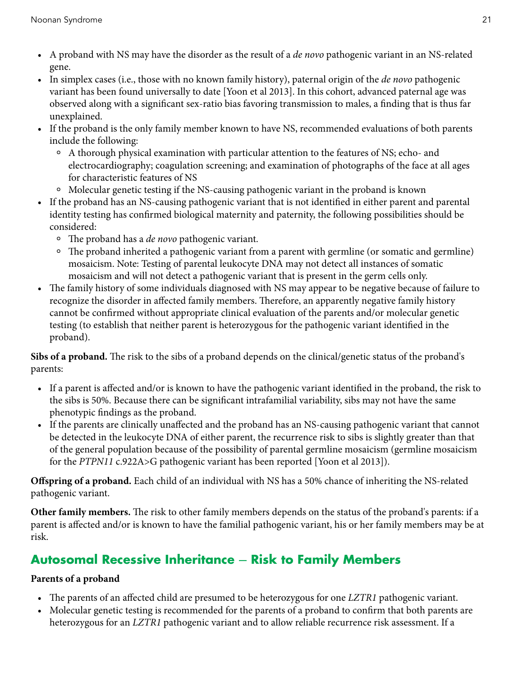- A proband with NS may have the disorder as the result of a *de novo* pathogenic variant in an NS-related gene.
- In simplex cases (i.e., those with no known family history), paternal origin of the *de novo* pathogenic variant has been found universally to date [\[Yoon et al 2013](#page-37-0)]. In this cohort, advanced paternal age was observed along with a significant sex-ratio bias favoring transmission to males, a finding that is thus far unexplained.
- If the proband is the only family member known to have NS, recommended evaluations of both parents include the following:
	- ⚬ A thorough physical examination with particular attention to the features of NS; echo- and electrocardiography; coagulation screening; and examination of photographs of the face at all ages for characteristic features of NS
	- ⚬ Molecular genetic testing if the NS-causing pathogenic variant in the proband is known
- If the proband has an NS-causing pathogenic variant that is not identified in either parent and parental identity testing has confirmed biological maternity and paternity, the following possibilities should be considered:
	- ⚬ The proband has a *de novo* pathogenic variant.
	- ⚬ The proband inherited a pathogenic variant from a parent with germline (or somatic and germline) mosaicism. Note: Testing of parental leukocyte DNA may not detect all instances of somatic mosaicism and will not detect a pathogenic variant that is present in the germ cells only.
- The family history of some individuals diagnosed with NS may appear to be negative because of failure to recognize the disorder in affected family members. Therefore, an apparently negative family history cannot be confirmed without appropriate clinical evaluation of the parents and/or molecular genetic testing (to establish that neither parent is heterozygous for the pathogenic variant identified in the proband).

**Sibs of a proband.** The risk to the sibs of a proband depends on the clinical/genetic status of the proband's parents:

- If a parent is affected and/or is known to have the pathogenic variant identified in the proband, the risk to the sibs is 50%. Because there can be significant intrafamilial variability, sibs may not have the same phenotypic findings as the proband.
- If the parents are clinically unaffected and the proband has an NS-causing pathogenic variant that cannot be detected in the leukocyte DNA of either parent, the recurrence risk to sibs is slightly greater than that of the general population because of the possibility of parental germline mosaicism (germline mosaicism for the *PTPN11* c.922A>G pathogenic variant has been reported [\[Yoon et al 2013](#page-37-0)]).

**Offspring of a proband.** Each child of an individual with NS has a 50% chance of inheriting the NS-related pathogenic variant.

**Other family members.** The risk to other family members depends on the status of the proband's parents: if a parent is affected and/or is known to have the familial pathogenic variant, his or her family members may be at risk.

# **Autosomal Recessive Inheritance** ‒ **Risk to Family Members**

#### **Parents of a proband**

- The parents of an affected child are presumed to be heterozygous for one *LZTR1* pathogenic variant.
- Molecular genetic testing is recommended for the parents of a proband to confirm that both parents are heterozygous for an *LZTR1* pathogenic variant and to allow reliable recurrence risk assessment. If a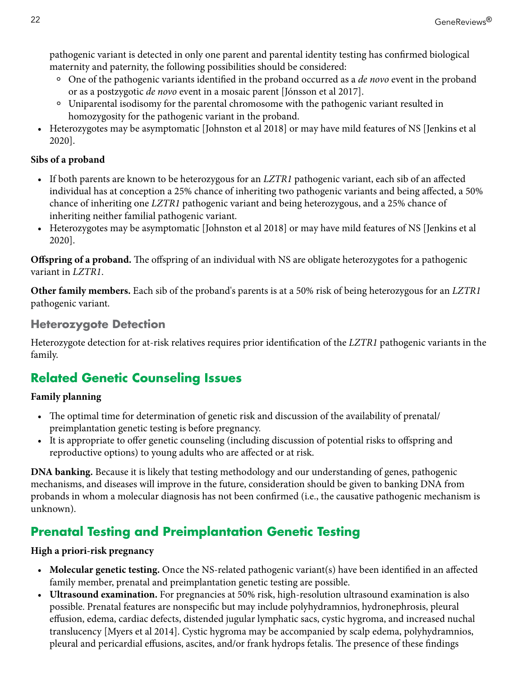<span id="page-21-0"></span>pathogenic variant is detected in only one parent and parental identity testing has confirmed biological maternity and paternity, the following possibilities should be considered:

- ⚬ One of the pathogenic variants identified in the proband occurred as a *de novo* event in the proband or as a postzygotic *de novo* event in a mosaic parent [\[Jónsson et al 2017](#page-32-0)].
- ⚬ Uniparental isodisomy for the parental chromosome with the pathogenic variant resulted in homozygosity for the pathogenic variant in the proband.
- Heterozygotes may be asymptomatic [[Johnston et al 2018](#page-31-0)] or may have mild features of NS [[Jenkins et al](#page-31-0)  [2020](#page-31-0)].

#### **Sibs of a proband**

- If both parents are known to be heterozygous for an *LZTR1* pathogenic variant, each sib of an affected individual has at conception a 25% chance of inheriting two pathogenic variants and being affected, a 50% chance of inheriting one *LZTR1* pathogenic variant and being heterozygous, and a 25% chance of inheriting neither familial pathogenic variant.
- Heterozygotes may be asymptomatic [[Johnston et al 2018](#page-31-0)] or may have mild features of NS [[Jenkins et al](#page-31-0)  [2020](#page-31-0)].

**Offspring of a proband.** The offspring of an individual with NS are obligate heterozygotes for a pathogenic variant in *LZTR1*.

**Other family members.** Each sib of the proband's parents is at a 50% risk of being heterozygous for an *LZTR1*  pathogenic variant.

### **Heterozygote Detection**

Heterozygote detection for at-risk relatives requires prior identification of the *LZTR1* pathogenic variants in the family.

# **Related Genetic Counseling Issues**

#### **Family planning**

- The optimal time for determination of genetic risk and discussion of the availability of prenatal/ preimplantation genetic testing is before pregnancy.
- It is appropriate to offer genetic counseling (including discussion of potential risks to offspring and reproductive options) to young adults who are affected or at risk.

**DNA banking.** Because it is likely that testing methodology and our understanding of genes, pathogenic mechanisms, and diseases will improve in the future, consideration should be given to banking DNA from probands in whom a molecular diagnosis has not been confirmed (i.e., the causative pathogenic mechanism is unknown).

## **Prenatal Testing and Preimplantation Genetic Testing**

#### **High a priori-risk pregnancy**

- **Molecular genetic testing.** Once the NS-related pathogenic variant(s) have been identified in an affected family member, prenatal and preimplantation genetic testing are possible.
- **Ultrasound examination.** For pregnancies at 50% risk, high-resolution ultrasound examination is also possible. Prenatal features are nonspecific but may include polyhydramnios, hydronephrosis, pleural effusion, edema, cardiac defects, distended jugular lymphatic sacs, cystic hygroma, and increased nuchal translucency [[Myers et al 2014\]](#page-33-0). Cystic hygroma may be accompanied by scalp edema, polyhydramnios, pleural and pericardial effusions, ascites, and/or frank hydrops fetalis. The presence of these findings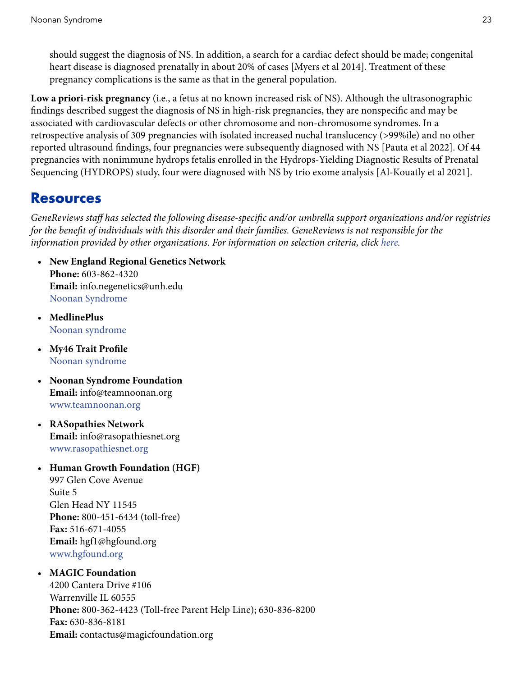<span id="page-22-0"></span>should suggest the diagnosis of NS. In addition, a search for a cardiac defect should be made; congenital heart disease is diagnosed prenatally in about 20% of cases [[Myers et al 2014\]](#page-33-0). Treatment of these pregnancy complications is the same as that in the general population.

**Low a priori-risk pregnancy** (i.e., a fetus at no known increased risk of NS). Although the ultrasonographic findings described suggest the diagnosis of NS in high-risk pregnancies, they are nonspecific and may be associated with cardiovascular defects or other chromosome and non-chromosome syndromes. In a retrospective analysis of 309 pregnancies with isolated increased nuchal translucency (>99%ile) and no other reported ultrasound findings, four pregnancies were subsequently diagnosed with NS [[Pauta et al 2022](#page-35-0)]. Of 44 pregnancies with nonimmune hydrops fetalis enrolled in the Hydrops-Yielding Diagnostic Results of Prenatal Sequencing (HYDROPS) study, four were diagnosed with NS by trio exome analysis [[Al-Kouatly et al 2021](#page-28-0)].

### **Resources**

*GeneReviews staff has selected the following disease-specific and/or umbrella support organizations and/or registries for the benefit of individuals with this disorder and their families. GeneReviews is not responsible for the information provided by other organizations. For information on selection criteria, click [here](https://www.ncbi.nlm.nih.gov/books/n/gene/app4/).*

- **New England Regional Genetics Network Phone:** 603-862-4320 **Email:** info.negenetics@unh.edu [Noonan Syndrome](https://www.negenetics.org/gemss/conditions/noonan-syndrome)
- **MedlinePlus** [Noonan syndrome](https://medlineplus.gov/genetics/condition/noonan-syndrome/)
- **My46 Trait Profile** [Noonan syndrome](https://www.my46.org/trait-document?trait=Noonan%20syndrome&parent=Genetic%20Syndromes&type=profile)
- **Noonan Syndrome Foundation Email:** info@teamnoonan.org [www.teamnoonan.org](http://www.teamnoonan.org/)
- **RASopathies Network Email:** info@rasopathiesnet.org [www.rasopathiesnet.org](http://rasopathiesnet.org/)
- **Human Growth Foundation (HGF)**

997 Glen Cove Avenue Suite 5 Glen Head NY 11545 **Phone:** 800-451-6434 (toll-free) **Fax:** 516-671-4055 **Email:** hgf1@hgfound.org [www.hgfound.org](http://www.hgfound.org)

#### • **MAGIC Foundation**

4200 Cantera Drive #106 Warrenville IL 60555 **Phone:** 800-362-4423 (Toll-free Parent Help Line); 630-836-8200 **Fax:** 630-836-8181 **Email:** contactus@magicfoundation.org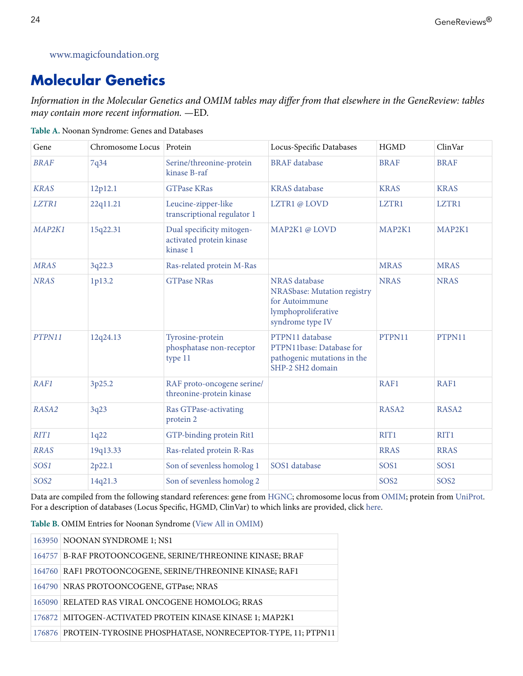#### <span id="page-23-0"></span>[www.magicfoundation.org](http://www.magicfoundation.org)

# **Molecular Genetics**

*Information in the Molecular Genetics and OMIM tables may differ from that elsewhere in the GeneReview: tables may contain more recent information. —*ED.

| Gene             | Chromosome Locus Protein |                                                                   | Locus-Specific Databases                                                                                  | <b>HGMD</b>      | ClinVar           |
|------------------|--------------------------|-------------------------------------------------------------------|-----------------------------------------------------------------------------------------------------------|------------------|-------------------|
| <b>BRAF</b>      | 7q34                     | Serine/threonine-protein<br>kinase B-raf                          | <b>BRAF</b> database                                                                                      | <b>BRAF</b>      | <b>BRAF</b>       |
| <b>KRAS</b>      | 12p12.1                  | <b>GTPase KRas</b>                                                | <b>KRAS</b> database                                                                                      | <b>KRAS</b>      | <b>KRAS</b>       |
| LZTR1            | 22q11.21                 | Leucine-zipper-like<br>transcriptional regulator 1                | LZTR1@LOVD                                                                                                | LZTR1            | LZTR1             |
| MAP2K1           | 15q22.31                 | Dual specificity mitogen-<br>activated protein kinase<br>kinase 1 | MAP2K1@LOVD                                                                                               | MAP2K1           | MAP2K1            |
| <b>MRAS</b>      | 3q22.3                   | Ras-related protein M-Ras                                         |                                                                                                           | <b>MRAS</b>      | <b>MRAS</b>       |
| <b>NRAS</b>      | 1p13.2                   | <b>GTPase NRas</b>                                                | NRAS database<br>NRASbase: Mutation registry<br>for Autoimmune<br>lymphoproliferative<br>syndrome type IV | <b>NRAS</b>      | <b>NRAS</b>       |
| PTPN11           | 12q24.13                 | Tyrosine-protein<br>phosphatase non-receptor<br>type 11           | PTPN11 database<br>PTPN11base: Database for<br>pathogenic mutations in the<br>SHP-2 SH2 domain            | PTPN11           | PTPN11            |
| <b>RAF1</b>      | 3p25.2                   | RAF proto-oncogene serine/<br>threonine-protein kinase            |                                                                                                           | RAF1             | RAF1              |
| RASA2            | 3q23                     | Ras GTPase-activating<br>protein 2                                |                                                                                                           | RASA2            | RASA2             |
| RIT1             | 1q22                     | GTP-binding protein Rit1                                          |                                                                                                           | RIT1             | RIT1              |
| <b>RRAS</b>      | 19q13.33                 | Ras-related protein R-Ras                                         |                                                                                                           | <b>RRAS</b>      | <b>RRAS</b>       |
| SOS1             | 2p22.1                   | Son of sevenless homolog 1                                        | SOS1 database                                                                                             | SOS1             | SOS1              |
| SOS <sub>2</sub> | 14q21.3                  | Son of sevenless homolog 2                                        |                                                                                                           | SOS <sub>2</sub> | SO <sub>S</sub> 2 |

**Table A.** Noonan Syndrome: Genes and Databases

Data are compiled from the following standard references: gene from [HGNC](http://www.genenames.org/index.html); chromosome locus from [OMIM](http://www.omim.org/); protein from [UniProt.](http://www.uniprot.org/) For a description of databases (Locus Specific, HGMD, ClinVar) to which links are provided, click [here](https://www.ncbi.nlm.nih.gov/books/n/gene/app1/).

**Table B.** OMIM Entries for Noonan Syndrome ([View All in OMIM\)](https://www.ncbi.nlm.nih.gov/omim/163950,164757,164760,164790,165090,176872,176876,176948,182530,190070,600098,600574,601247,601589,605275,608435,609591,609942,610733,611553,613224,613706,615355,616559,616564,618499,618624,619087)

| 163950 NOONAN SYNDROME 1; NS1                                     |
|-------------------------------------------------------------------|
| 164757 B-RAF PROTOONCOGENE, SERINE/THREONINE KINASE; BRAF         |
| 164760 RAF1 PROTOONCOGENE, SERINE/THREONINE KINASE; RAF1          |
| 164790 NRAS PROTOONCOGENE, GTPase: NRAS                           |
| 165090 RELATED RAS VIRAL ONCOGENE HOMOLOG; RRAS                   |
| 176872 MITOGEN-ACTIVATED PROTEIN KINASE KINASE 1; MAP2K1          |
| 176876 PROTEIN-TYROSINE PHOSPHATASE, NONRECEPTOR-TYPE, 11; PTPN11 |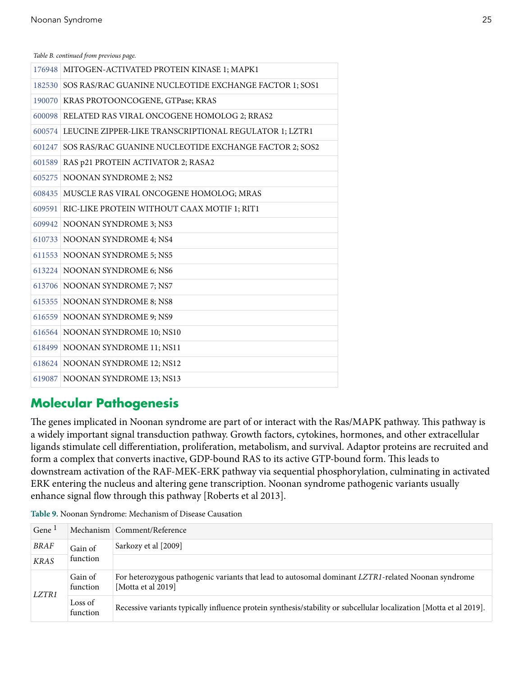*Table B. continued from previous page.*

| 176948 MITOGEN-ACTIVATED PROTEIN KINASE 1; MAPK1              |
|---------------------------------------------------------------|
| 182530 SOS RAS/RAC GUANINE NUCLEOTIDE EXCHANGE FACTOR 1; SOS1 |
| 190070 KRAS PROTOONCOGENE, GTPase; KRAS                       |
| 600098 RELATED RAS VIRAL ONCOGENE HOMOLOG 2; RRAS2            |
| 600574 LEUCINE ZIPPER-LIKE TRANSCRIPTIONAL REGULATOR 1; LZTR1 |
| 601247 SOS RAS/RAC GUANINE NUCLEOTIDE EXCHANGE FACTOR 2; SOS2 |
| 601589 RAS p21 PROTEIN ACTIVATOR 2; RASA2                     |
| 605275 NOONAN SYNDROME 2; NS2                                 |
| 608435 MUSCLE RAS VIRAL ONCOGENE HOMOLOG; MRAS                |
| 609591 RIC-LIKE PROTEIN WITHOUT CAAX MOTIF 1; RIT1            |
| 609942 NOONAN SYNDROME 3; NS3                                 |
| 610733 NOONAN SYNDROME 4; NS4                                 |
| 611553 NOONAN SYNDROME 5; NS5                                 |
| 613224 NOONAN SYNDROME 6; NS6                                 |
| 613706 NOONAN SYNDROME 7; NS7                                 |
| 615355 NOONAN SYNDROME 8; NS8                                 |
| 616559 NOONAN SYNDROME 9; NS9                                 |
| 616564 NOONAN SYNDROME 10; NS10                               |
| 618499 NOONAN SYNDROME 11; NS11                               |
| 618624 NOONAN SYNDROME 12; NS12                               |
| 619087 NOONAN SYNDROME 13; NS13                               |

## **Molecular Pathogenesis**

The genes implicated in Noonan syndrome are part of or interact with the Ras/MAPK pathway. This pathway is a widely important signal transduction pathway. Growth factors, cytokines, hormones, and other extracellular ligands stimulate cell differentiation, proliferation, metabolism, and survival. Adaptor proteins are recruited and form a complex that converts inactive, GDP-bound RAS to its active GTP-bound form. This leads to downstream activation of the RAF-MEK-ERK pathway via sequential phosphorylation, culminating in activated ERK entering the nucleus and altering gene transcription. Noonan syndrome pathogenic variants usually enhance signal flow through this pathway [\[Roberts et al 2013](#page-28-0)].

| Table 9. Noonan Syndrome: Mechanism of Disease Causation |  |  |
|----------------------------------------------------------|--|--|
|                                                          |  |  |

| Gene <sup>1</sup> |                     | Mechanism   Comment/Reference                                                                                            |
|-------------------|---------------------|--------------------------------------------------------------------------------------------------------------------------|
| <b>BRAF</b>       | Gain of             | Sarkozy et al [2009]                                                                                                     |
| <b>KRAS</b>       | function            |                                                                                                                          |
| <i>LZTR1</i>      | Gain of<br>function | For heterozygous pathogenic variants that lead to autosomal dominant LZTR1-related Noonan syndrome<br>[Motta et al 2019] |
|                   | Loss of<br>function | Recessive variants typically influence protein synthesis/stability or subcellular localization [Motta et al 2019].       |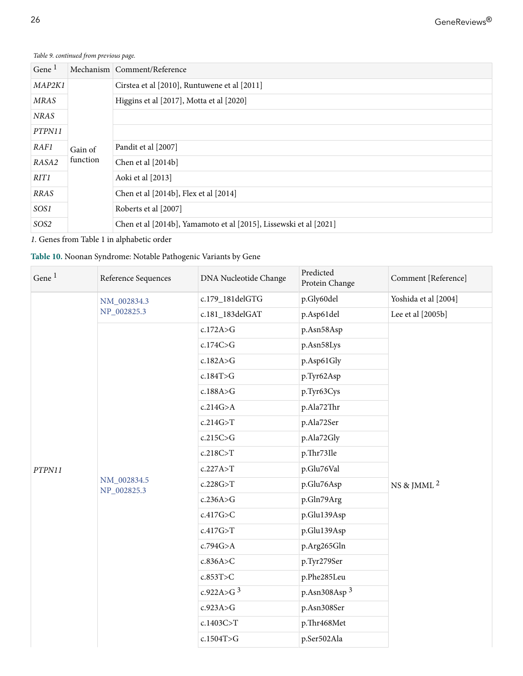<span id="page-25-0"></span>*Table 9. continued from previous page.*

| Gene $1$         |          | Mechanism   Comment/Reference                                     |
|------------------|----------|-------------------------------------------------------------------|
| MAP2K1           |          | Cirstea et al [2010], Runtuwene et al [2011]                      |
| <b>MRAS</b>      |          | Higgins et al [2017], Motta et al [2020]                          |
| <b>NRAS</b>      |          |                                                                   |
| PTPN11           |          |                                                                   |
| RAF1             | Gain of  | Pandit et al [2007]                                               |
| RASA2            | function | Chen et al [2014b]                                                |
| RIT1             |          | Aoki et al [2013]                                                 |
| RRAS             |          | Chen et al [2014b], Flex et al [2014]                             |
| SOS1             |          | Roberts et al [2007]                                              |
| SOS <sub>2</sub> |          | Chen et al [2014b], Yamamoto et al [2015], Lissewski et al [2021] |

*1.* Genes from [Table 1](#page-3-0) in alphabetic order

#### **Table 10.** Noonan Syndrome: Notable Pathogenic Variants by Gene

| Gene <sup>1</sup> | Reference Sequences        | DNA Nucleotide Change | Predicted<br>Protein Change | Comment [Reference]    |
|-------------------|----------------------------|-----------------------|-----------------------------|------------------------|
|                   | NM_002834.3<br>NP_002825.3 | c.179_181delGTG       | p.Gly60del                  | Yoshida et al [2004]   |
|                   |                            | c.181_183delGAT       | p.Asp61del                  | Lee et al [2005b]      |
|                   |                            | c.172A > G            | p.Asn58Asp                  |                        |
|                   |                            | c.174C>G              | p.Asn58Lys                  |                        |
|                   |                            | c.182A > G            | p.Asp61Gly                  |                        |
|                   |                            | c.184T>G              | p.Tyr62Asp                  |                        |
|                   |                            | c.188A > G            | p.Tyr63Cys                  |                        |
|                   |                            | c.214G>A              | p.Ala72Thr                  |                        |
|                   | NM_002834.5<br>NP_002825.3 | c.214G > T            | p.Ala72Ser                  |                        |
|                   |                            | c.215C>G              | p.Ala72Gly                  |                        |
|                   |                            | c.218C > T            | p.Thr73Ile                  |                        |
| PTPN11            |                            | c.227A > T            | p.Glu76Val                  |                        |
|                   |                            | c.228G > T            | p.Glu76Asp                  | NS & JMML <sup>2</sup> |
|                   |                            | c.236A > G            | p.Gln79Arg                  |                        |
|                   |                            | c.417G>C              | p.Glu139Asp                 |                        |
|                   |                            | c.417G > T            | p.Glu139Asp                 |                        |
|                   |                            | c.794G > A            | p.Arg265Gln                 |                        |
|                   |                            | c.836A > C            | p.Tyr279Ser                 |                        |
|                   |                            | c.853T>C              | p.Phe285Leu                 |                        |
|                   |                            | c.922A>G $^3$         | p.Asn308Asp $3$             |                        |
|                   |                            | c.923A > G            | p.Asn308Ser                 |                        |
|                   |                            | c.1403C>T             | p.Thr468Met                 |                        |
|                   |                            | c.1504T>G             | p.Ser502Ala                 |                        |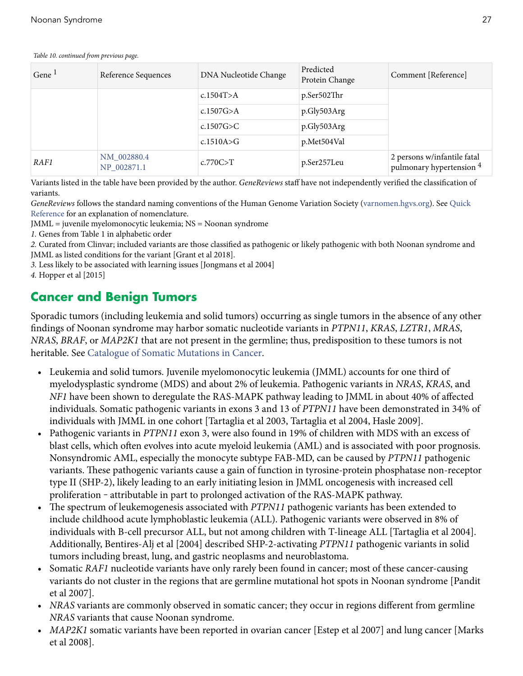#### <span id="page-26-0"></span>*Table 10. continued from previous page.*

| Gene $1$ | Reference Sequences        | DNA Nucleotide Change | Predicted<br>Protein Change | Comment [Reference]                                     |
|----------|----------------------------|-----------------------|-----------------------------|---------------------------------------------------------|
|          |                            | c.1504T>A             | p.Ser502Thr                 |                                                         |
|          |                            | c.1507 $G > A$        | p.Gly503Arg                 |                                                         |
|          |                            | c.1507 $G>C$          | p.Gly503Arg                 |                                                         |
|          |                            | c.1510A $\gt$ G       | p.Met504Val                 |                                                         |
| RAF1     | NM 002880.4<br>NP_002871.1 | c.770C > T            | p.Ser257Leu                 | 2 persons w/infantile fatal<br>pulmonary hypertension 4 |

Variants listed in the table have been provided by the author. *GeneReviews* staff have not independently verified the classification of variants.

*GeneReviews* follows the standard naming conventions of the Human Genome Variation Society [\(varnomen.hgvs.org\)](https://varnomen.hgvs.org/). See [Quick](https://www.ncbi.nlm.nih.gov/books/n/gene/app3/) [Reference](https://www.ncbi.nlm.nih.gov/books/n/gene/app3/) for an explanation of nomenclature.

JMML = juvenile myelomonocytic leukemia; NS = Noonan syndrome

*1.* Genes from [Table 1](#page-3-0) in alphabetic order

*2.* Curated from Clinvar; included variants are those classified as pathogenic or likely pathogenic with both Noonan syndrome and JMML as listed conditions for the variant [[Grant et al 2018\]](#page-31-0).

*3.* Less likely to be associated with learning issues [\[Jongmans et al 2004](#page-31-0)]

*4.* [Hopper et al \[2015\]](#page-31-0)

### **Cancer and Benign Tumors**

Sporadic tumors (including leukemia and solid tumors) occurring as single tumors in the absence of any other findings of Noonan syndrome may harbor somatic nucleotide variants in *PTPN11*, *KRAS*, *LZTR1*, *MRAS*, *NRAS*, *BRAF*, or *MAP2K1* that are not present in the germline; thus, predisposition to these tumors is not heritable. See [Catalogue of Somatic Mutations in Cancer.](https://cancer.sanger.ac.uk/cosmic)

- Leukemia and solid tumors. Juvenile myelomonocytic leukemia (JMML) accounts for one third of myelodysplastic syndrome (MDS) and about 2% of leukemia. Pathogenic variants in *NRAS*, *KRAS*, and *NF1* have been shown to deregulate the RAS-MAPK pathway leading to JMML in about 40% of affected individuals. Somatic pathogenic variants in exons 3 and 13 of *PTPN11* have been demonstrated in 34% of individuals with JMML in one cohort [\[Tartaglia et al 2003, Tartaglia et al 2004,](#page-36-0) [Hasle 2009\]](#page-31-0).
- Pathogenic variants in *PTPN11* exon 3, were also found in 19% of children with MDS with an excess of blast cells, which often evolves into acute myeloid leukemia (AML) and is associated with poor prognosis. Nonsyndromic AML, especially the monocyte subtype FAB-MD, can be caused by *PTPN11* pathogenic variants. These pathogenic variants cause a gain of function in tyrosine-protein phosphatase non-receptor type II (SHP-2), likely leading to an early initiating lesion in JMML oncogenesis with increased cell proliferation - attributable in part to prolonged activation of the RAS-MAPK pathway.
- The spectrum of leukemogenesis associated with *PTPN11* pathogenic variants has been extended to include childhood acute lymphoblastic leukemia (ALL). Pathogenic variants were observed in 8% of individuals with B-cell precursor ALL, but not among children with T-lineage ALL [\[Tartaglia et al 2004\]](#page-36-0). Additionally, [Bentires-Alj et al \[2004\]](#page-29-0) described SHP-2-activating *PTPN11* pathogenic variants in solid tumors including breast, lung, and gastric neoplasms and neuroblastoma.
- Somatic *RAF1* nucleotide variants have only rarely been found in cancer; most of these cancer-causing variants do not cluster in the regions that are germline mutational hot spots in Noonan syndrome [\[Pandit](#page-35-0)  [et al 2007\]](#page-35-0).
- *NRAS* variants are commonly observed in somatic cancer; they occur in regions different from germline *NRAS* variants that cause Noonan syndrome.
- *MAP2K1* somatic variants have been reported in ovarian cancer [\[Estep et al 2007\]](#page-30-0) and lung cancer [[Marks](#page-33-0) [et al 2008\]](#page-33-0).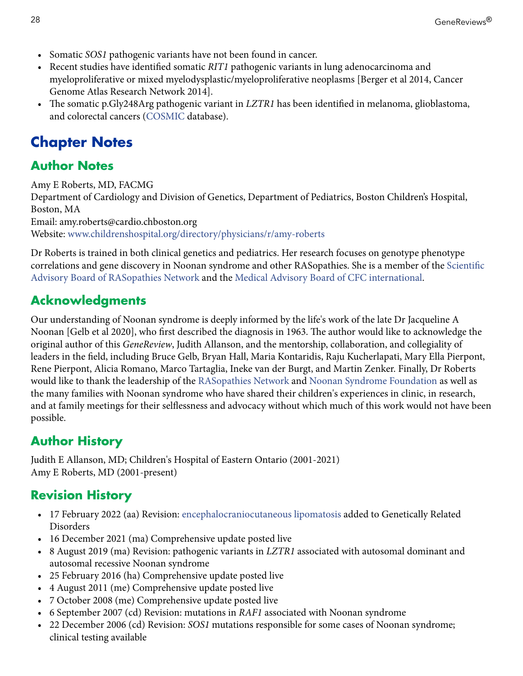- Somatic *SOS1* pathogenic variants have not been found in cancer.
- Recent studies have identified somatic *RIT1* pathogenic variants in lung adenocarcinoma and myeloproliferative or mixed myelodysplastic/myeloproliferative neoplasms [\[Berger et al 2014](#page-29-0), [Cancer](#page-29-0) [Genome Atlas Research Network 2014](#page-29-0)].
- The somatic p.Gly248Arg pathogenic variant in *LZTR1* has been identified in melanoma, glioblastoma, and colorectal cancers [\(COSMIC](https://cancer.sanger.ac.uk/cosmic) database).

# **Chapter Notes**

## **Author Notes**

Amy E Roberts, MD, FACMG Department of Cardiology and Division of Genetics, Department of Pediatrics, Boston Children's Hospital, Boston, MA Email: amy.roberts@cardio.chboston.org Website: [www.childrenshospital.org/directory/physicians/r/amy-roberts](https://www.childrenshospital.org/directory/physicians/r/amy-roberts)

Dr Roberts is trained in both clinical genetics and pediatrics. Her research focuses on genotype phenotype correlations and gene discovery in Noonan syndrome and other RASopathies. She is a member of the [Scientific](https://rasopathiesnet.org/about/research-advisory-board/) [Advisory Board of RASopathies Network](https://rasopathiesnet.org/about/research-advisory-board/) and the [Medical Advisory Board of CFC international](https://www.cfcsyndrome.org/medical-advisory-board).

# **Acknowledgments**

Our understanding of Noonan syndrome is deeply informed by the life's work of the late Dr Jacqueline A Noonan [\[Gelb et al 2020](#page-30-0)], who first described the diagnosis in 1963. The author would like to acknowledge the original author of this *GeneReview*, Judith Allanson, and the mentorship, collaboration, and collegiality of leaders in the field, including Bruce Gelb, Bryan Hall, Maria Kontaridis, Raju Kucherlapati, Mary Ella Pierpont, Rene Pierpont, Alicia Romano, Marco Tartaglia, Ineke van der Burgt, and Martin Zenker. Finally, Dr Roberts would like to thank the leadership of the [RASopathies Network](https://rasopathiesnet.org/) and [Noonan Syndrome Foundation](https://teamnoonan.org/) as well as the many families with Noonan syndrome who have shared their children's experiences in clinic, in research, and at family meetings for their selflessness and advocacy without which much of this work would not have been possible.

# **Author History**

Judith E Allanson, MD; Children's Hospital of Eastern Ontario (2001-2021) Amy E Roberts, MD (2001-present)

# **Revision History**

- 17 February 2022 (aa) Revision: [encephalocraniocutaneous lipomatosis](https://www.ncbi.nlm.nih.gov/books/n/gene/eccl/) added to [Genetically Related](#page-12-0)  [Disorders](#page-12-0)
- 16 December 2021 (ma) Comprehensive update posted live
- 8 August 2019 (ma) Revision: pathogenic variants in *LZTR1* associated with autosomal dominant and autosomal recessive Noonan syndrome
- 25 February 2016 (ha) Comprehensive update posted live
- 4 August 2011 (me) Comprehensive update posted live
- 7 October 2008 (me) Comprehensive update posted live
- 6 September 2007 (cd) Revision: mutations in *RAF1* associated with Noonan syndrome
- 22 December 2006 (cd) Revision: *SOS1* mutations responsible for some cases of Noonan syndrome; clinical testing available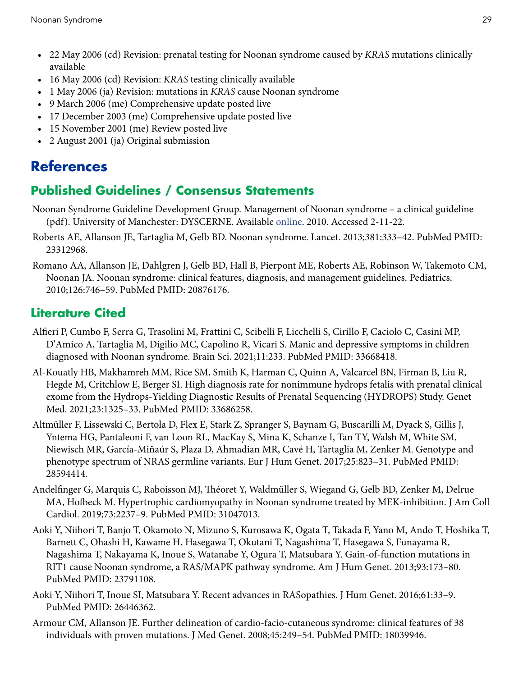- <span id="page-28-0"></span>• 22 May 2006 (cd) Revision: prenatal testing for Noonan syndrome caused by *KRAS* mutations clinically available
- 16 May 2006 (cd) Revision: *KRAS* testing clinically available
- 1 May 2006 (ja) Revision: mutations in *KRAS* cause Noonan syndrome
- 9 March 2006 (me) Comprehensive update posted live
- 17 December 2003 (me) Comprehensive update posted live
- 15 November 2001 (me) Review posted live
- 2 August 2001 (ja) Original submission

# **References**

## **Published Guidelines / Consensus Statements**

- Noonan Syndrome Guideline Development Group. Management of Noonan syndrome a clinical guideline (pdf). University of Manchester: DYSCERNE. Available [online.](https://rasopathiesnet.org/wp-content/uploads/2014/01/265_Noonan_Guidelines.pdf) 2010. Accessed 2-11-22.
- Roberts AE, Allanson JE, Tartaglia M, Gelb BD. Noonan syndrome. Lancet. 2013;381:333–42. PubMed PMID: [23312968](https://www.ncbi.nlm.nih.gov/pubmed/23312968).
- Romano AA, Allanson JE, Dahlgren J, Gelb BD, Hall B, Pierpont ME, Roberts AE, Robinson W, Takemoto CM, Noonan JA. Noonan syndrome: clinical features, diagnosis, and management guidelines. Pediatrics. 2010;126:746–59. PubMed PMID: [20876176.](https://www.ncbi.nlm.nih.gov/pubmed/20876176)

### **Literature Cited**

- Alfieri P, Cumbo F, Serra G, Trasolini M, Frattini C, Scibelli F, Licchelli S, Cirillo F, Caciolo C, Casini MP, D'Amico A, Tartaglia M, Digilio MC, Capolino R, Vicari S. Manic and depressive symptoms in children diagnosed with Noonan syndrome. Brain Sci. 2021;11:233. PubMed PMID: [33668418](https://www.ncbi.nlm.nih.gov/pubmed/33668418).
- Al-Kouatly HB, Makhamreh MM, Rice SM, Smith K, Harman C, Quinn A, Valcarcel BN, Firman B, Liu R, Hegde M, Critchlow E, Berger SI. High diagnosis rate for nonimmune hydrops fetalis with prenatal clinical exome from the Hydrops-Yielding Diagnostic Results of Prenatal Sequencing (HYDROPS) Study. Genet Med. 2021;23:1325–33. PubMed PMID: [33686258](https://www.ncbi.nlm.nih.gov/pubmed/33686258).
- Altmüller F, Lissewski C, Bertola D, Flex E, Stark Z, Spranger S, Baynam G, Buscarilli M, Dyack S, Gillis J, Yntema HG, Pantaleoni F, van Loon RL, MacKay S, Mina K, Schanze I, Tan TY, Walsh M, White SM, Niewisch MR, García-Miñaúr S, Plaza D, Ahmadian MR, Cavé H, Tartaglia M, Zenker M. Genotype and phenotype spectrum of NRAS germline variants. Eur J Hum Genet. 2017;25:823–31. PubMed PMID: [28594414](https://www.ncbi.nlm.nih.gov/pubmed/28594414).
- Andelfinger G, Marquis C, Raboisson MJ, Théoret Y, Waldmüller S, Wiegand G, Gelb BD, Zenker M, Delrue MA, Hofbeck M. Hypertrophic cardiomyopathy in Noonan syndrome treated by MEK-inhibition. J Am Coll Cardiol. 2019;73:2237–9. PubMed PMID: [31047013.](https://www.ncbi.nlm.nih.gov/pubmed/31047013)
- Aoki Y, Niihori T, Banjo T, Okamoto N, Mizuno S, Kurosawa K, Ogata T, Takada F, Yano M, Ando T, Hoshika T, Barnett C, Ohashi H, Kawame H, Hasegawa T, Okutani T, Nagashima T, Hasegawa S, Funayama R, Nagashima T, Nakayama K, Inoue S, Watanabe Y, Ogura T, Matsubara Y. Gain-of-function mutations in RIT1 cause Noonan syndrome, a RAS/MAPK pathway syndrome. Am J Hum Genet. 2013;93:173–80. PubMed PMID: [23791108.](https://www.ncbi.nlm.nih.gov/pubmed/23791108)
- Aoki Y, Niihori T, Inoue SI, Matsubara Y. Recent advances in RASopathies. J Hum Genet. 2016;61:33–9. PubMed PMID: [26446362.](https://www.ncbi.nlm.nih.gov/pubmed/26446362)
- Armour CM, Allanson JE. Further delineation of cardio-facio-cutaneous syndrome: clinical features of 38 individuals with proven mutations. J Med Genet. 2008;45:249–54. PubMed PMID: [18039946](https://www.ncbi.nlm.nih.gov/pubmed/18039946).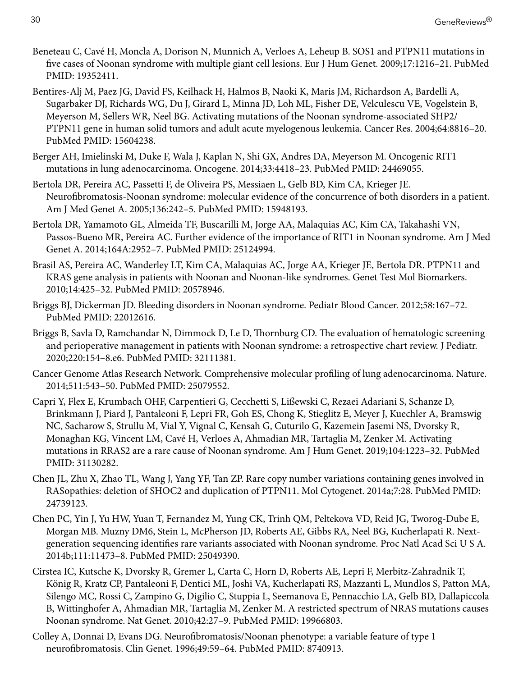- <span id="page-29-0"></span>Beneteau C, Cavé H, Moncla A, Dorison N, Munnich A, Verloes A, Leheup B. SOS1 and PTPN11 mutations in five cases of Noonan syndrome with multiple giant cell lesions. Eur J Hum Genet. 2009;17:1216–21. PubMed PMID: [19352411.](https://www.ncbi.nlm.nih.gov/pubmed/19352411)
- Bentires-Alj M, Paez JG, David FS, Keilhack H, Halmos B, Naoki K, Maris JM, Richardson A, Bardelli A, Sugarbaker DJ, Richards WG, Du J, Girard L, Minna JD, Loh ML, Fisher DE, Velculescu VE, Vogelstein B, Meyerson M, Sellers WR, Neel BG. Activating mutations of the Noonan syndrome-associated SHP2/ PTPN11 gene in human solid tumors and adult acute myelogenous leukemia. Cancer Res. 2004;64:8816–20. PubMed PMID: [15604238.](https://www.ncbi.nlm.nih.gov/pubmed/15604238)
- Berger AH, Imielinski M, Duke F, Wala J, Kaplan N, Shi GX, Andres DA, Meyerson M. Oncogenic RIT1 mutations in lung adenocarcinoma. Oncogene. 2014;33:4418–23. PubMed PMID: [24469055.](https://www.ncbi.nlm.nih.gov/pubmed/24469055)
- Bertola DR, Pereira AC, Passetti F, de Oliveira PS, Messiaen L, Gelb BD, Kim CA, Krieger JE. Neurofibromatosis-Noonan syndrome: molecular evidence of the concurrence of both disorders in a patient. Am J Med Genet A. 2005;136:242–5. PubMed PMID: [15948193.](https://www.ncbi.nlm.nih.gov/pubmed/15948193)
- Bertola DR, Yamamoto GL, Almeida TF, Buscarilli M, Jorge AA, Malaquias AC, Kim CA, Takahashi VN, Passos-Bueno MR, Pereira AC. Further evidence of the importance of RIT1 in Noonan syndrome. Am J Med Genet A. 2014;164A:2952–7. PubMed PMID: [25124994.](https://www.ncbi.nlm.nih.gov/pubmed/25124994)
- Brasil AS, Pereira AC, Wanderley LT, Kim CA, Malaquias AC, Jorge AA, Krieger JE, Bertola DR. PTPN11 and KRAS gene analysis in patients with Noonan and Noonan-like syndromes. Genet Test Mol Biomarkers. 2010;14:425–32. PubMed PMID: [20578946](https://www.ncbi.nlm.nih.gov/pubmed/20578946).
- Briggs BJ, Dickerman JD. Bleeding disorders in Noonan syndrome. Pediatr Blood Cancer. 2012;58:167–72. PubMed PMID: [22012616.](https://www.ncbi.nlm.nih.gov/pubmed/22012616)
- Briggs B, Savla D, Ramchandar N, Dimmock D, Le D, Thornburg CD. The evaluation of hematologic screening and perioperative management in patients with Noonan syndrome: a retrospective chart review. J Pediatr. 2020;220:154–8.e6. PubMed PMID: [32111381.](https://www.ncbi.nlm.nih.gov/pubmed/32111381)
- Cancer Genome Atlas Research Network. Comprehensive molecular profiling of lung adenocarcinoma. Nature. 2014;511:543–50. PubMed PMID: [25079552.](https://www.ncbi.nlm.nih.gov/pubmed/25079552)
- Capri Y, Flex E, Krumbach OHF, Carpentieri G, Cecchetti S, Lißewski C, Rezaei Adariani S, Schanze D, Brinkmann J, Piard J, Pantaleoni F, Lepri FR, Goh ES, Chong K, Stieglitz E, Meyer J, Kuechler A, Bramswig NC, Sacharow S, Strullu M, Vial Y, Vignal C, Kensah G, Cuturilo G, Kazemein Jasemi NS, Dvorsky R, Monaghan KG, Vincent LM, Cavé H, Verloes A, Ahmadian MR, Tartaglia M, Zenker M. Activating mutations in RRAS2 are a rare cause of Noonan syndrome. Am J Hum Genet. 2019;104:1223–32. PubMed PMID: [31130282.](https://www.ncbi.nlm.nih.gov/pubmed/31130282)
- Chen JL, Zhu X, Zhao TL, Wang J, Yang YF, Tan ZP. Rare copy number variations containing genes involved in RASopathies: deletion of SHOC2 and duplication of PTPN11. Mol Cytogenet. 2014a;7:28. PubMed PMID: [24739123](https://www.ncbi.nlm.nih.gov/pubmed/24739123).
- Chen PC, Yin J, Yu HW, Yuan T, Fernandez M, Yung CK, Trinh QM, Peltekova VD, Reid JG, Tworog-Dube E, Morgan MB. Muzny DM6, Stein L, McPherson JD, Roberts AE, Gibbs RA, Neel BG, Kucherlapati R. Nextgeneration sequencing identifies rare variants associated with Noonan syndrome. Proc Natl Acad Sci U S A. 2014b;111:11473–8. PubMed PMID: [25049390.](https://www.ncbi.nlm.nih.gov/pubmed/25049390)
- Cirstea IC, Kutsche K, Dvorsky R, Gremer L, Carta C, Horn D, Roberts AE, Lepri F, Merbitz-Zahradnik T, König R, Kratz CP, Pantaleoni F, Dentici ML, Joshi VA, Kucherlapati RS, Mazzanti L, Mundlos S, Patton MA, Silengo MC, Rossi C, Zampino G, Digilio C, Stuppia L, Seemanova E, Pennacchio LA, Gelb BD, Dallapiccola B, Wittinghofer A, Ahmadian MR, Tartaglia M, Zenker M. A restricted spectrum of NRAS mutations causes Noonan syndrome. Nat Genet. 2010;42:27–9. PubMed PMID: [19966803.](https://www.ncbi.nlm.nih.gov/pubmed/19966803)
- Colley A, Donnai D, Evans DG. Neurofibromatosis/Noonan phenotype: a variable feature of type 1 neurofibromatosis. Clin Genet. 1996;49:59–64. PubMed PMID: [8740913.](https://www.ncbi.nlm.nih.gov/pubmed/8740913)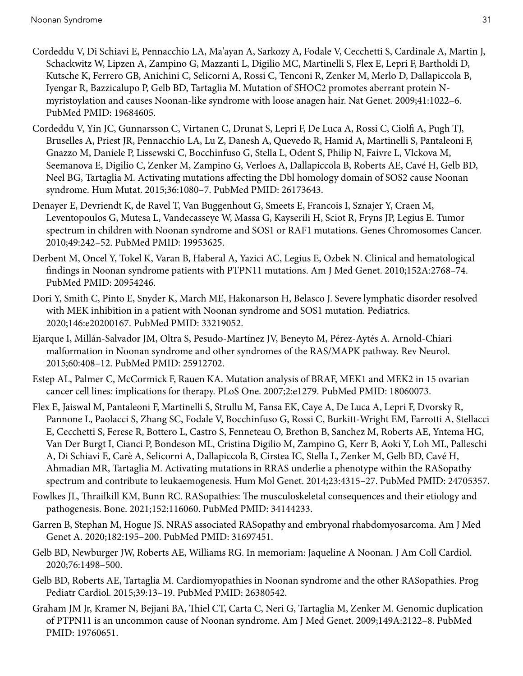- <span id="page-30-0"></span>Cordeddu V, Di Schiavi E, Pennacchio LA, Ma'ayan A, Sarkozy A, Fodale V, Cecchetti S, Cardinale A, Martin J, Schackwitz W, Lipzen A, Zampino G, Mazzanti L, Digilio MC, Martinelli S, Flex E, Lepri F, Bartholdi D, Kutsche K, Ferrero GB, Anichini C, Selicorni A, Rossi C, Tenconi R, Zenker M, Merlo D, Dallapiccola B, Iyengar R, Bazzicalupo P, Gelb BD, Tartaglia M. Mutation of SHOC2 promotes aberrant protein Nmyristoylation and causes Noonan-like syndrome with loose anagen hair. Nat Genet. 2009;41:1022–6. PubMed PMID: [19684605.](https://www.ncbi.nlm.nih.gov/pubmed/19684605)
- Cordeddu V, Yin JC, Gunnarsson C, Virtanen C, Drunat S, Lepri F, De Luca A, Rossi C, Ciolfi A, Pugh TJ, Bruselles A, Priest JR, Pennacchio LA, Lu Z, Danesh A, Quevedo R, Hamid A, Martinelli S, Pantaleoni F, Gnazzo M, Daniele P, Lissewski C, Bocchinfuso G, Stella L, Odent S, Philip N, Faivre L, Vlckova M, Seemanova E, Digilio C, Zenker M, Zampino G, Verloes A, Dallapiccola B, Roberts AE, Cavé H, Gelb BD, Neel BG, Tartaglia M. Activating mutations affecting the Dbl homology domain of SOS2 cause Noonan syndrome. Hum Mutat. 2015;36:1080–7. PubMed PMID: [26173643.](https://www.ncbi.nlm.nih.gov/pubmed/26173643)
- Denayer E, Devriendt K, de Ravel T, Van Buggenhout G, Smeets E, Francois I, Sznajer Y, Craen M, Leventopoulos G, Mutesa L, Vandecasseye W, Massa G, Kayserili H, Sciot R, Fryns JP, Legius E. Tumor spectrum in children with Noonan syndrome and SOS1 or RAF1 mutations. Genes Chromosomes Cancer. 2010;49:242–52. PubMed PMID: [19953625](https://www.ncbi.nlm.nih.gov/pubmed/19953625).
- Derbent M, Oncel Y, Tokel K, Varan B, Haberal A, Yazici AC, Legius E, Ozbek N. Clinical and hematological findings in Noonan syndrome patients with PTPN11 mutations. Am J Med Genet. 2010;152A:2768–74. PubMed PMID: [20954246.](https://www.ncbi.nlm.nih.gov/pubmed/20954246)
- Dori Y, Smith C, Pinto E, Snyder K, March ME, Hakonarson H, Belasco J. Severe lymphatic disorder resolved with MEK inhibition in a patient with Noonan syndrome and SOS1 mutation. Pediatrics. 2020;146:e20200167. PubMed PMID: [33219052](https://www.ncbi.nlm.nih.gov/pubmed/33219052).
- Ejarque I, Millán-Salvador JM, Oltra S, Pesudo-Martínez JV, Beneyto M, Pérez-Aytés A. Arnold-Chiari malformation in Noonan syndrome and other syndromes of the RAS/MAPK pathway. Rev Neurol. 2015;60:408–12. PubMed PMID: [25912702](https://www.ncbi.nlm.nih.gov/pubmed/25912702).
- Estep AL, Palmer C, McCormick F, Rauen KA. Mutation analysis of BRAF, MEK1 and MEK2 in 15 ovarian cancer cell lines: implications for therapy. PLoS One. 2007;2:e1279. PubMed PMID: [18060073](https://www.ncbi.nlm.nih.gov/pubmed/18060073).
- Flex E, Jaiswal M, Pantaleoni F, Martinelli S, Strullu M, Fansa EK, Caye A, De Luca A, Lepri F, Dvorsky R, Pannone L, Paolacci S, Zhang SC, Fodale V, Bocchinfuso G, Rossi C, Burkitt-Wright EM, Farrotti A, Stellacci E, Cecchetti S, Ferese R, Bottero L, Castro S, Fenneteau O, Brethon B, Sanchez M, Roberts AE, Yntema HG, Van Der Burgt I, Cianci P, Bondeson ML, Cristina Digilio M, Zampino G, Kerr B, Aoki Y, Loh ML, Palleschi A, Di Schiavi E, Carè A, Selicorni A, Dallapiccola B, Cirstea IC, Stella L, Zenker M, Gelb BD, Cavé H, Ahmadian MR, Tartaglia M. Activating mutations in RRAS underlie a phenotype within the RASopathy spectrum and contribute to leukaemogenesis. Hum Mol Genet. 2014;23:4315–27. PubMed PMID: [24705357.](https://www.ncbi.nlm.nih.gov/pubmed/24705357)
- Fowlkes JL, Thrailkill KM, Bunn RC. RASopathies: The musculoskeletal consequences and their etiology and pathogenesis. Bone. 2021;152:116060. PubMed PMID: [34144233](https://www.ncbi.nlm.nih.gov/pubmed/34144233).
- Garren B, Stephan M, Hogue JS. NRAS associated RASopathy and embryonal rhabdomyosarcoma. Am J Med Genet A. 2020;182:195–200. PubMed PMID: [31697451](https://www.ncbi.nlm.nih.gov/pubmed/31697451).
- Gelb BD, Newburger JW, Roberts AE, Williams RG. In memoriam: Jaqueline A Noonan. J Am Coll Cardiol. 2020;76:1498–500.
- Gelb BD, Roberts AE, Tartaglia M. Cardiomyopathies in Noonan syndrome and the other RASopathies. Prog Pediatr Cardiol. 2015;39:13–19. PubMed PMID: [26380542](https://www.ncbi.nlm.nih.gov/pubmed/26380542).
- Graham JM Jr, Kramer N, Bejjani BA, Thiel CT, Carta C, Neri G, Tartaglia M, Zenker M. Genomic duplication of PTPN11 is an uncommon cause of Noonan syndrome. Am J Med Genet. 2009;149A:2122–8. PubMed PMID: [19760651.](https://www.ncbi.nlm.nih.gov/pubmed/19760651)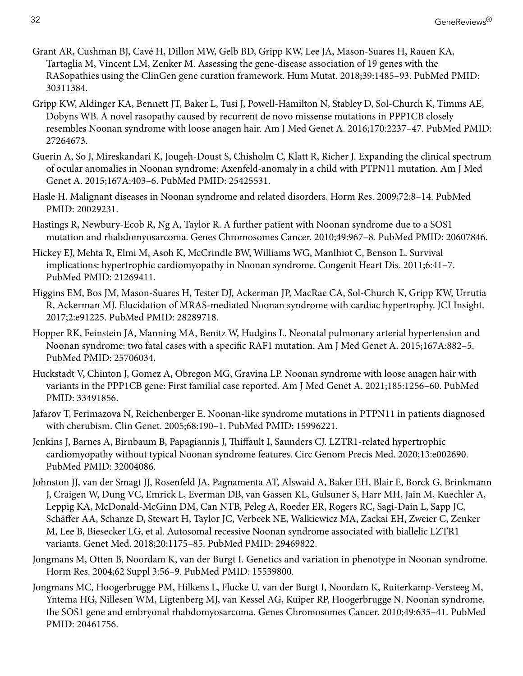- <span id="page-31-0"></span>Grant AR, Cushman BJ, Cavé H, Dillon MW, Gelb BD, Gripp KW, Lee JA, Mason-Suares H, Rauen KA, Tartaglia M, Vincent LM, Zenker M. Assessing the gene-disease association of 19 genes with the RASopathies using the ClinGen gene curation framework. Hum Mutat. 2018;39:1485–93. PubMed PMID: [30311384](https://www.ncbi.nlm.nih.gov/pubmed/30311384).
- Gripp KW, Aldinger KA, Bennett JT, Baker L, Tusi J, Powell-Hamilton N, Stabley D, Sol-Church K, Timms AE, Dobyns WB. A novel rasopathy caused by recurrent de novo missense mutations in PPP1CB closely resembles Noonan syndrome with loose anagen hair. Am J Med Genet A. 2016;170:2237–47. PubMed PMID: [27264673](https://www.ncbi.nlm.nih.gov/pubmed/27264673).
- Guerin A, So J, Mireskandari K, Jougeh-Doust S, Chisholm C, Klatt R, Richer J. Expanding the clinical spectrum of ocular anomalies in Noonan syndrome: Axenfeld-anomaly in a child with PTPN11 mutation. Am J Med Genet A. 2015;167A:403–6. PubMed PMID: [25425531](https://www.ncbi.nlm.nih.gov/pubmed/25425531).
- Hasle H. Malignant diseases in Noonan syndrome and related disorders. Horm Res. 2009;72:8–14. PubMed PMID: [20029231.](https://www.ncbi.nlm.nih.gov/pubmed/20029231)
- Hastings R, Newbury-Ecob R, Ng A, Taylor R. A further patient with Noonan syndrome due to a SOS1 mutation and rhabdomyosarcoma. Genes Chromosomes Cancer. 2010;49:967–8. PubMed PMID: [20607846](https://www.ncbi.nlm.nih.gov/pubmed/20607846).
- Hickey EJ, Mehta R, Elmi M, Asoh K, McCrindle BW, Williams WG, Manlhiot C, Benson L. Survival implications: hypertrophic cardiomyopathy in Noonan syndrome. Congenit Heart Dis. 2011;6:41–7. PubMed PMID: [21269411.](https://www.ncbi.nlm.nih.gov/pubmed/21269411)
- Higgins EM, Bos JM, Mason-Suares H, Tester DJ, Ackerman JP, MacRae CA, Sol-Church K, Gripp KW, Urrutia R, Ackerman MJ. Elucidation of MRAS-mediated Noonan syndrome with cardiac hypertrophy. JCI Insight. 2017;2:e91225. PubMed PMID: [28289718](https://www.ncbi.nlm.nih.gov/pubmed/28289718).
- Hopper RK, Feinstein JA, Manning MA, Benitz W, Hudgins L. Neonatal pulmonary arterial hypertension and Noonan syndrome: two fatal cases with a specific RAF1 mutation. Am J Med Genet A. 2015;167A:882–5. PubMed PMID: [25706034.](https://www.ncbi.nlm.nih.gov/pubmed/25706034)
- Huckstadt V, Chinton J, Gomez A, Obregon MG, Gravina LP. Noonan syndrome with loose anagen hair with variants in the PPP1CB gene: First familial case reported. Am J Med Genet A. 2021;185:1256–60. PubMed PMID: [33491856.](https://www.ncbi.nlm.nih.gov/pubmed/33491856)
- Jafarov T, Ferimazova N, Reichenberger E. Noonan-like syndrome mutations in PTPN11 in patients diagnosed with cherubism. Clin Genet. 2005;68:190–1. PubMed PMID: [15996221.](https://www.ncbi.nlm.nih.gov/pubmed/15996221)
- Jenkins J, Barnes A, Birnbaum B, Papagiannis J, Thiffault I, Saunders CJ. LZTR1-related hypertrophic cardiomyopathy without typical Noonan syndrome features. Circ Genom Precis Med. 2020;13:e002690. PubMed PMID: [32004086.](https://www.ncbi.nlm.nih.gov/pubmed/32004086)
- Johnston JJ, van der Smagt JJ, Rosenfeld JA, Pagnamenta AT, Alswaid A, Baker EH, Blair E, Borck G, Brinkmann J, Craigen W, Dung VC, Emrick L, Everman DB, van Gassen KL, Gulsuner S, Harr MH, Jain M, Kuechler A, Leppig KA, McDonald-McGinn DM, Can NTB, Peleg A, Roeder ER, Rogers RC, Sagi-Dain L, Sapp JC, Schäffer AA, Schanze D, Stewart H, Taylor JC, Verbeek NE, Walkiewicz MA, Zackai EH, Zweier C, Zenker M, Lee B, Biesecker LG, et al. Autosomal recessive Noonan syndrome associated with biallelic LZTR1 variants. Genet Med. 2018;20:1175–85. PubMed PMID: [29469822.](https://www.ncbi.nlm.nih.gov/pubmed/29469822)
- Jongmans M, Otten B, Noordam K, van der Burgt I. Genetics and variation in phenotype in Noonan syndrome. Horm Res. 2004;62 Suppl 3:56–9. PubMed PMID: [15539800](https://www.ncbi.nlm.nih.gov/pubmed/15539800).
- Jongmans MC, Hoogerbrugge PM, Hilkens L, Flucke U, van der Burgt I, Noordam K, Ruiterkamp-Versteeg M, Yntema HG, Nillesen WM, Ligtenberg MJ, van Kessel AG, Kuiper RP, Hoogerbrugge N. Noonan syndrome, the SOS1 gene and embryonal rhabdomyosarcoma. Genes Chromosomes Cancer. 2010;49:635–41. PubMed PMID: [20461756.](https://www.ncbi.nlm.nih.gov/pubmed/20461756)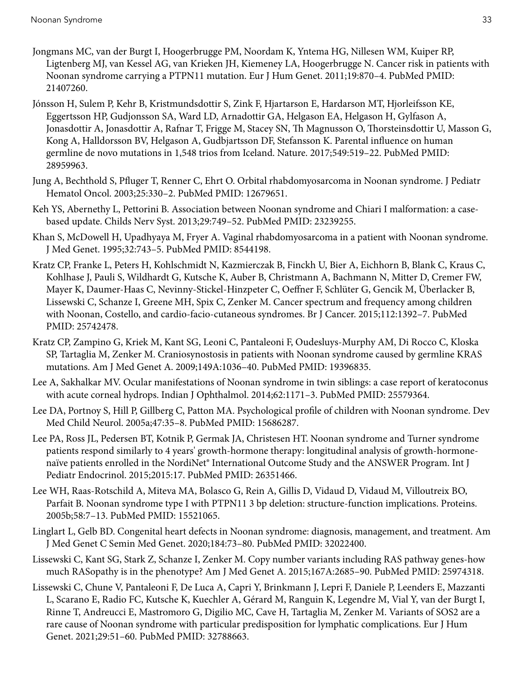- <span id="page-32-0"></span>Jongmans MC, van der Burgt I, Hoogerbrugge PM, Noordam K, Yntema HG, Nillesen WM, Kuiper RP, Ligtenberg MJ, van Kessel AG, van Krieken JH, Kiemeney LA, Hoogerbrugge N. Cancer risk in patients with Noonan syndrome carrying a PTPN11 mutation. Eur J Hum Genet. 2011;19:870–4. PubMed PMID: [21407260](https://www.ncbi.nlm.nih.gov/pubmed/21407260).
- Jónsson H, Sulem P, Kehr B, Kristmundsdottir S, Zink F, Hjartarson E, Hardarson MT, Hjorleifsson KE, Eggertsson HP, Gudjonsson SA, Ward LD, Arnadottir GA, Helgason EA, Helgason H, Gylfason A, Jonasdottir A, Jonasdottir A, Rafnar T, Frigge M, Stacey SN, Th Magnusson O, Thorsteinsdottir U, Masson G, Kong A, Halldorsson BV, Helgason A, Gudbjartsson DF, Stefansson K. Parental influence on human germline de novo mutations in 1,548 trios from Iceland. Nature. 2017;549:519–22. PubMed PMID: [28959963](https://www.ncbi.nlm.nih.gov/pubmed/28959963).
- Jung A, Bechthold S, Pfluger T, Renner C, Ehrt O. Orbital rhabdomyosarcoma in Noonan syndrome. J Pediatr Hematol Oncol. 2003;25:330–2. PubMed PMID: [12679651.](https://www.ncbi.nlm.nih.gov/pubmed/12679651)
- Keh YS, Abernethy L, Pettorini B. Association between Noonan syndrome and Chiari I malformation: a casebased update. Childs Nerv Syst. 2013;29:749–52. PubMed PMID: [23239255](https://www.ncbi.nlm.nih.gov/pubmed/23239255).
- Khan S, McDowell H, Upadhyaya M, Fryer A. Vaginal rhabdomyosarcoma in a patient with Noonan syndrome. J Med Genet. 1995;32:743–5. PubMed PMID: [8544198](https://www.ncbi.nlm.nih.gov/pubmed/8544198).
- Kratz CP, Franke L, Peters H, Kohlschmidt N, Kazmierczak B, Finckh U, Bier A, Eichhorn B, Blank C, Kraus C, Kohlhase J, Pauli S, Wildhardt G, Kutsche K, Auber B, Christmann A, Bachmann N, Mitter D, Cremer FW, Mayer K, Daumer-Haas C, Nevinny-Stickel-Hinzpeter C, Oeffner F, Schlüter G, Gencik M, Überlacker B, Lissewski C, Schanze I, Greene MH, Spix C, Zenker M. Cancer spectrum and frequency among children with Noonan, Costello, and cardio-facio-cutaneous syndromes. Br J Cancer. 2015;112:1392–7. PubMed PMID: [25742478.](https://www.ncbi.nlm.nih.gov/pubmed/25742478)
- Kratz CP, Zampino G, Kriek M, Kant SG, Leoni C, Pantaleoni F, Oudesluys-Murphy AM, Di Rocco C, Kloska SP, Tartaglia M, Zenker M. Craniosynostosis in patients with Noonan syndrome caused by germline KRAS mutations. Am J Med Genet A. 2009;149A:1036–40. PubMed PMID: [19396835.](https://www.ncbi.nlm.nih.gov/pubmed/19396835)
- Lee A, Sakhalkar MV. Ocular manifestations of Noonan syndrome in twin siblings: a case report of keratoconus with acute corneal hydrops. Indian J Ophthalmol. 2014;62:1171–3. PubMed PMID: [25579364](https://www.ncbi.nlm.nih.gov/pubmed/25579364).
- Lee DA, Portnoy S, Hill P, Gillberg C, Patton MA. Psychological profile of children with Noonan syndrome. Dev Med Child Neurol. 2005a;47:35–8. PubMed PMID: [15686287](https://www.ncbi.nlm.nih.gov/pubmed/15686287).
- Lee PA, Ross JL, Pedersen BT, Kotnik P, Germak JA, Christesen HT. Noonan syndrome and Turner syndrome patients respond similarly to 4 years' growth-hormone therapy: longitudinal analysis of growth-hormonenaïve patients enrolled in the NordiNet® International Outcome Study and the ANSWER Program. Int J Pediatr Endocrinol. 2015;2015:17. PubMed PMID: [26351466](https://www.ncbi.nlm.nih.gov/pubmed/26351466).
- Lee WH, Raas-Rotschild A, Miteva MA, Bolasco G, Rein A, Gillis D, Vidaud D, Vidaud M, Villoutreix BO, Parfait B. Noonan syndrome type I with PTPN11 3 bp deletion: structure-function implications. Proteins. 2005b;58:7–13. PubMed PMID: [15521065.](https://www.ncbi.nlm.nih.gov/pubmed/15521065)
- Linglart L, Gelb BD. Congenital heart defects in Noonan syndrome: diagnosis, management, and treatment. Am J Med Genet C Semin Med Genet. 2020;184:73–80. PubMed PMID: [32022400](https://www.ncbi.nlm.nih.gov/pubmed/32022400).
- Lissewski C, Kant SG, Stark Z, Schanze I, Zenker M. Copy number variants including RAS pathway genes-how much RASopathy is in the phenotype? Am J Med Genet A. 2015;167A:2685–90. PubMed PMID: [25974318.](https://www.ncbi.nlm.nih.gov/pubmed/25974318)
- Lissewski C, Chune V, Pantaleoni F, De Luca A, Capri Y, Brinkmann J, Lepri F, Daniele P, Leenders E, Mazzanti L, Scarano E, Radio FC, Kutsche K, Kuechler A, Gérard M, Ranguin K, Legendre M, Vial Y, van der Burgt I, Rinne T, Andreucci E, Mastromoro G, Digilio MC, Cave H, Tartaglia M, Zenker M. Variants of SOS2 are a rare cause of Noonan syndrome with particular predisposition for lymphatic complications. Eur J Hum Genet. 2021;29:51–60. PubMed PMID: [32788663.](https://www.ncbi.nlm.nih.gov/pubmed/32788663)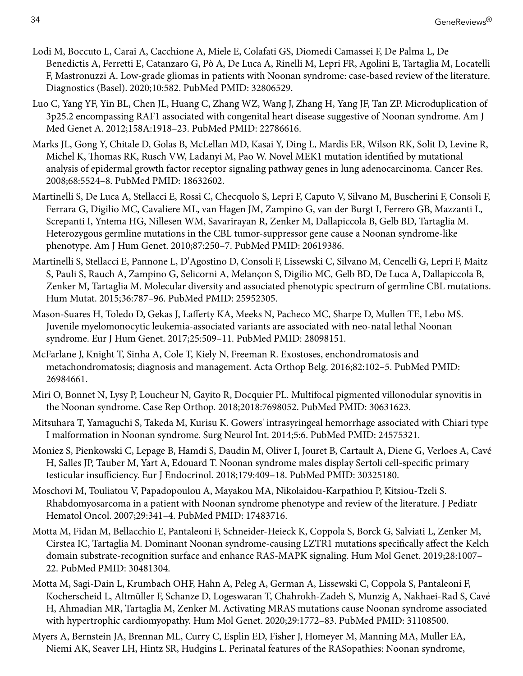- <span id="page-33-0"></span>Lodi M, Boccuto L, Carai A, Cacchione A, Miele E, Colafati GS, Diomedi Camassei F, De Palma L, De Benedictis A, Ferretti E, Catanzaro G, Pò A, De Luca A, Rinelli M, Lepri FR, Agolini E, Tartaglia M, Locatelli F, Mastronuzzi A. Low-grade gliomas in patients with Noonan syndrome: case-based review of the literature. Diagnostics (Basel). 2020;10:582. PubMed PMID: [32806529](https://www.ncbi.nlm.nih.gov/pubmed/32806529).
- Luo C, Yang YF, Yin BL, Chen JL, Huang C, Zhang WZ, Wang J, Zhang H, Yang JF, Tan ZP. Microduplication of 3p25.2 encompassing RAF1 associated with congenital heart disease suggestive of Noonan syndrome. Am J Med Genet A. 2012;158A:1918–23. PubMed PMID: [22786616](https://www.ncbi.nlm.nih.gov/pubmed/22786616).
- Marks JL, Gong Y, Chitale D, Golas B, McLellan MD, Kasai Y, Ding L, Mardis ER, Wilson RK, Solit D, Levine R, Michel K, Thomas RK, Rusch VW, Ladanyi M, Pao W. Novel MEK1 mutation identified by mutational analysis of epidermal growth factor receptor signaling pathway genes in lung adenocarcinoma. Cancer Res. 2008;68:5524–8. PubMed PMID: [18632602](https://www.ncbi.nlm.nih.gov/pubmed/18632602).
- Martinelli S, De Luca A, Stellacci E, Rossi C, Checquolo S, Lepri F, Caputo V, Silvano M, Buscherini F, Consoli F, Ferrara G, Digilio MC, Cavaliere ML, van Hagen JM, Zampino G, van der Burgt I, Ferrero GB, Mazzanti L, Screpanti I, Yntema HG, Nillesen WM, Savarirayan R, Zenker M, Dallapiccola B, Gelb BD, Tartaglia M. Heterozygous germline mutations in the CBL tumor-suppressor gene cause a Noonan syndrome-like phenotype. Am J Hum Genet. 2010;87:250–7. PubMed PMID: [20619386](https://www.ncbi.nlm.nih.gov/pubmed/20619386).
- Martinelli S, Stellacci E, Pannone L, D'Agostino D, Consoli F, Lissewski C, Silvano M, Cencelli G, Lepri F, Maitz S, Pauli S, Rauch A, Zampino G, Selicorni A, Melançon S, Digilio MC, Gelb BD, De Luca A, Dallapiccola B, Zenker M, Tartaglia M. Molecular diversity and associated phenotypic spectrum of germline CBL mutations. Hum Mutat. 2015;36:787–96. PubMed PMID: [25952305](https://www.ncbi.nlm.nih.gov/pubmed/25952305).
- Mason-Suares H, Toledo D, Gekas J, Lafferty KA, Meeks N, Pacheco MC, Sharpe D, Mullen TE, Lebo MS. Juvenile myelomonocytic leukemia-associated variants are associated with neo-natal lethal Noonan syndrome. Eur J Hum Genet. 2017;25:509–11. PubMed PMID: [28098151](https://www.ncbi.nlm.nih.gov/pubmed/28098151).
- McFarlane J, Knight T, Sinha A, Cole T, Kiely N, Freeman R. Exostoses, enchondromatosis and metachondromatosis; diagnosis and management. Acta Orthop Belg. 2016;82:102–5. PubMed PMID: [26984661](https://www.ncbi.nlm.nih.gov/pubmed/26984661).
- Miri O, Bonnet N, Lysy P, Loucheur N, Gayito R, Docquier PL. Multifocal pigmented villonodular synovitis in the Noonan syndrome. Case Rep Orthop. 2018;2018:7698052. PubMed PMID: [30631623](https://www.ncbi.nlm.nih.gov/pubmed/30631623).
- Mitsuhara T, Yamaguchi S, Takeda M, Kurisu K. Gowers' intrasyringeal hemorrhage associated with Chiari type I malformation in Noonan syndrome. Surg Neurol Int. 2014;5:6. PubMed PMID: [24575321](https://www.ncbi.nlm.nih.gov/pubmed/24575321).
- Moniez S, Pienkowski C, Lepage B, Hamdi S, Daudin M, Oliver I, Jouret B, Cartault A, Diene G, Verloes A, Cavé H, Salles JP, Tauber M, Yart A, Edouard T. Noonan syndrome males display Sertoli cell-specific primary testicular insufficiency. Eur J Endocrinol. 2018;179:409–18. PubMed PMID: [30325180.](https://www.ncbi.nlm.nih.gov/pubmed/30325180)
- Moschovi M, Touliatou V, Papadopoulou A, Mayakou MA, Nikolaidou-Karpathiou P, Kitsiou-Tzeli S. Rhabdomyosarcoma in a patient with Noonan syndrome phenotype and review of the literature. J Pediatr Hematol Oncol. 2007;29:341–4. PubMed PMID: [17483716.](https://www.ncbi.nlm.nih.gov/pubmed/17483716)
- Motta M, Fidan M, Bellacchio E, Pantaleoni F, Schneider-Heieck K, Coppola S, Borck G, Salviati L, Zenker M, Cirstea IC, Tartaglia M. Dominant Noonan syndrome-causing LZTR1 mutations specifically affect the Kelch domain substrate-recognition surface and enhance RAS-MAPK signaling. Hum Mol Genet. 2019;28:1007– 22. PubMed PMID: [30481304.](https://www.ncbi.nlm.nih.gov/pubmed/30481304)
- Motta M, Sagi-Dain L, Krumbach OHF, Hahn A, Peleg A, German A, Lissewski C, Coppola S, Pantaleoni F, Kocherscheid L, Altmüller F, Schanze D, Logeswaran T, Chahrokh-Zadeh S, Munzig A, Nakhaei-Rad S, Cavé H, Ahmadian MR, Tartaglia M, Zenker M. Activating MRAS mutations cause Noonan syndrome associated with hypertrophic cardiomyopathy. Hum Mol Genet. 2020;29:1772–83. PubMed PMID: [31108500.](https://www.ncbi.nlm.nih.gov/pubmed/31108500)
- Myers A, Bernstein JA, Brennan ML, Curry C, Esplin ED, Fisher J, Homeyer M, Manning MA, Muller EA, Niemi AK, Seaver LH, Hintz SR, Hudgins L. Perinatal features of the RASopathies: Noonan syndrome,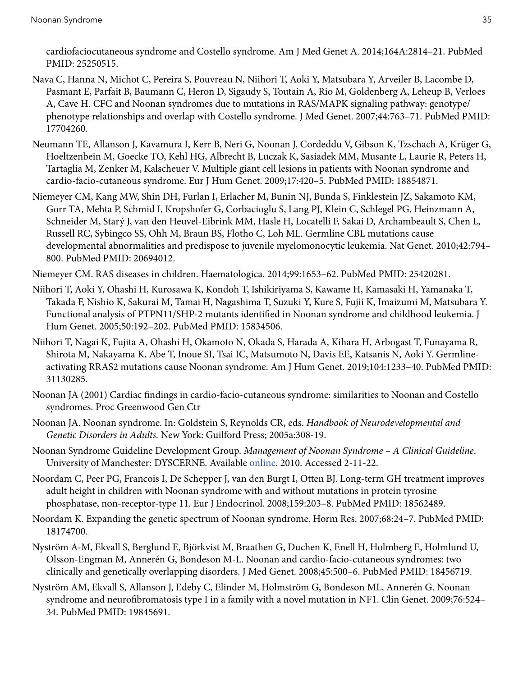<span id="page-34-0"></span>cardiofaciocutaneous syndrome and Costello syndrome. Am J Med Genet A. 2014;164A:2814–21. PubMed PMID: [25250515.](https://www.ncbi.nlm.nih.gov/pubmed/25250515)

- Nava C, Hanna N, Michot C, Pereira S, Pouvreau N, Niihori T, Aoki Y, Matsubara Y, Arveiler B, Lacombe D, Pasmant E, Parfait B, Baumann C, Heron D, Sigaudy S, Toutain A, Rio M, Goldenberg A, Leheup B, Verloes A, Cave H. CFC and Noonan syndromes due to mutations in RAS/MAPK signaling pathway: genotype/ phenotype relationships and overlap with Costello syndrome. J Med Genet. 2007;44:763–71. PubMed PMID: [17704260](https://www.ncbi.nlm.nih.gov/pubmed/17704260).
- Neumann TE, Allanson J, Kavamura I, Kerr B, Neri G, Noonan J, Cordeddu V, Gibson K, Tzschach A, Krüger G, Hoeltzenbein M, Goecke TO, Kehl HG, Albrecht B, Luczak K, Sasiadek MM, Musante L, Laurie R, Peters H, Tartaglia M, Zenker M, Kalscheuer V. Multiple giant cell lesions in patients with Noonan syndrome and cardio-facio-cutaneous syndrome. Eur J Hum Genet. 2009;17:420–5. PubMed PMID: [18854871](https://www.ncbi.nlm.nih.gov/pubmed/18854871).
- Niemeyer CM, Kang MW, Shin DH, Furlan I, Erlacher M, Bunin NJ, Bunda S, Finklestein JZ, Sakamoto KM, Gorr TA, Mehta P, Schmid I, Kropshofer G, Corbacioglu S, Lang PJ, Klein C, Schlegel PG, Heinzmann A, Schneider M, Starý J, van den Heuvel-Eibrink MM, Hasle H, Locatelli F, Sakai D, Archambeault S, Chen L, Russell RC, Sybingco SS, Ohh M, Braun BS, Flotho C, Loh ML. Germline CBL mutations cause developmental abnormalities and predispose to juvenile myelomonocytic leukemia. Nat Genet. 2010;42:794– 800. PubMed PMID: [20694012](https://www.ncbi.nlm.nih.gov/pubmed/20694012).

Niemeyer CM. RAS diseases in children. Haematologica. 2014;99:1653–62. PubMed PMID: [25420281.](https://www.ncbi.nlm.nih.gov/pubmed/25420281)

- Niihori T, Aoki Y, Ohashi H, Kurosawa K, Kondoh T, Ishikiriyama S, Kawame H, Kamasaki H, Yamanaka T, Takada F, Nishio K, Sakurai M, Tamai H, Nagashima T, Suzuki Y, Kure S, Fujii K, Imaizumi M, Matsubara Y. Functional analysis of PTPN11/SHP-2 mutants identified in Noonan syndrome and childhood leukemia. J Hum Genet. 2005;50:192–202. PubMed PMID: [15834506](https://www.ncbi.nlm.nih.gov/pubmed/15834506).
- Niihori T, Nagai K, Fujita A, Ohashi H, Okamoto N, Okada S, Harada A, Kihara H, Arbogast T, Funayama R, Shirota M, Nakayama K, Abe T, Inoue SI, Tsai IC, Matsumoto N, Davis EE, Katsanis N, Aoki Y. Germlineactivating RRAS2 mutations cause Noonan syndrome. Am J Hum Genet. 2019;104:1233–40. PubMed PMID: [31130285](https://www.ncbi.nlm.nih.gov/pubmed/31130285).
- Noonan JA (2001) Cardiac findings in cardio-facio-cutaneous syndrome: similarities to Noonan and Costello syndromes. Proc Greenwood Gen Ctr
- Noonan JA. Noonan syndrome. In: Goldstein S, Reynolds CR, eds. *Handbook of Neurodevelopmental and Genetic Disorders in Adults.* New York: Guilford Press; 2005a:308-19.
- Noonan Syndrome Guideline Development Group. *Management of Noonan Syndrome A Clinical Guideline*. University of Manchester: DYSCERNE. Available [online.](https://rasopathiesnet.org/wp-content/uploads/2014/01/265_Noonan_Guidelines.pdf) 2010. Accessed 2-11-22.
- Noordam C, Peer PG, Francois I, De Schepper J, van den Burgt I, Otten BJ. Long-term GH treatment improves adult height in children with Noonan syndrome with and without mutations in protein tyrosine phosphatase, non-receptor-type 11. Eur J Endocrinol. 2008;159:203–8. PubMed PMID: [18562489](https://www.ncbi.nlm.nih.gov/pubmed/18562489).
- Noordam K. Expanding the genetic spectrum of Noonan syndrome. Horm Res. 2007;68:24–7. PubMed PMID: [18174700](https://www.ncbi.nlm.nih.gov/pubmed/18174700).
- Nyström A-M, Ekvall S, Berglund E, Björkvist M, Braathen G, Duchen K, Enell H, Holmberg E, Holmlund U, Olsson-Engman M, Annerén G, Bondeson M-L. Noonan and cardio-facio-cutaneous syndromes: two clinically and genetically overlapping disorders. J Med Genet. 2008;45:500–6. PubMed PMID: [18456719](https://www.ncbi.nlm.nih.gov/pubmed/18456719).
- Nyström AM, Ekvall S, Allanson J, Edeby C, Elinder M, Holmström G, Bondeson ML, Annerén G. Noonan syndrome and neurofibromatosis type I in a family with a novel mutation in NF1. Clin Genet. 2009;76:524– 34. PubMed PMID: [19845691.](https://www.ncbi.nlm.nih.gov/pubmed/19845691)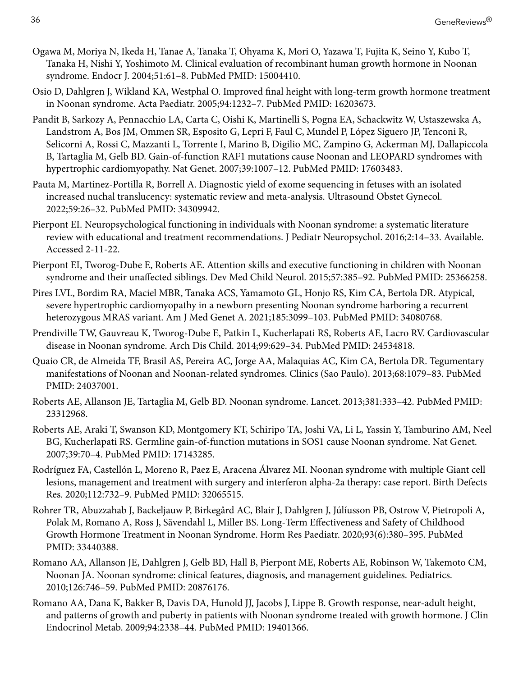- <span id="page-35-0"></span>Ogawa M, Moriya N, Ikeda H, Tanae A, Tanaka T, Ohyama K, Mori O, Yazawa T, Fujita K, Seino Y, Kubo T, Tanaka H, Nishi Y, Yoshimoto M. Clinical evaluation of recombinant human growth hormone in Noonan syndrome. Endocr J. 2004;51:61–8. PubMed PMID: [15004410](https://www.ncbi.nlm.nih.gov/pubmed/15004410).
- Osio D, Dahlgren J, Wikland KA, Westphal O. Improved final height with long-term growth hormone treatment in Noonan syndrome. Acta Paediatr. 2005;94:1232–7. PubMed PMID: [16203673](https://www.ncbi.nlm.nih.gov/pubmed/16203673).
- Pandit B, Sarkozy A, Pennacchio LA, Carta C, Oishi K, Martinelli S, Pogna EA, Schackwitz W, Ustaszewska A, Landstrom A, Bos JM, Ommen SR, Esposito G, Lepri F, Faul C, Mundel P, López Siguero JP, Tenconi R, Selicorni A, Rossi C, Mazzanti L, Torrente I, Marino B, Digilio MC, Zampino G, Ackerman MJ, Dallapiccola B, Tartaglia M, Gelb BD. Gain-of-function RAF1 mutations cause Noonan and LEOPARD syndromes with hypertrophic cardiomyopathy. Nat Genet. 2007;39:1007–12. PubMed PMID: [17603483.](https://www.ncbi.nlm.nih.gov/pubmed/17603483)
- Pauta M, Martinez-Portilla R, Borrell A. Diagnostic yield of exome sequencing in fetuses with an isolated increased nuchal translucency: systematic review and meta-analysis. Ultrasound Obstet Gynecol. 2022;59:26–32. PubMed PMID: [34309942](https://www.ncbi.nlm.nih.gov/pubmed/34309942).
- Pierpont EI. Neuropsychological functioning in individuals with Noonan syndrome: a systematic literature review with educational and treatment recommendations. J Pediatr Neuropsychol. 2016;2:14–33. Available. Accessed 2-11-22.
- Pierpont EI, Tworog-Dube E, Roberts AE. Attention skills and executive functioning in children with Noonan syndrome and their unaffected siblings. Dev Med Child Neurol. 2015;57:385–92. PubMed PMID: [25366258.](https://www.ncbi.nlm.nih.gov/pubmed/25366258)
- Pires LVL, Bordim RA, Maciel MBR, Tanaka ACS, Yamamoto GL, Honjo RS, Kim CA, Bertola DR. Atypical, severe hypertrophic cardiomyopathy in a newborn presenting Noonan syndrome harboring a recurrent heterozygous MRAS variant. Am J Med Genet A. 2021;185:3099–103. PubMed PMID: [34080768](https://www.ncbi.nlm.nih.gov/pubmed/34080768).
- Prendiville TW, Gauvreau K, Tworog-Dube E, Patkin L, Kucherlapati RS, Roberts AE, Lacro RV. Cardiovascular disease in Noonan syndrome. Arch Dis Child. 2014;99:629–34. PubMed PMID: [24534818](https://www.ncbi.nlm.nih.gov/pubmed/24534818).
- Quaio CR, de Almeida TF, Brasil AS, Pereira AC, Jorge AA, Malaquias AC, Kim CA, Bertola DR. Tegumentary manifestations of Noonan and Noonan-related syndromes. Clinics (Sao Paulo). 2013;68:1079–83. PubMed PMID: [24037001.](https://www.ncbi.nlm.nih.gov/pubmed/24037001)
- Roberts AE, Allanson JE, Tartaglia M, Gelb BD. Noonan syndrome. Lancet. 2013;381:333–42. PubMed PMID: [23312968](https://www.ncbi.nlm.nih.gov/pubmed/23312968).
- Roberts AE, Araki T, Swanson KD, Montgomery KT, Schiripo TA, Joshi VA, Li L, Yassin Y, Tamburino AM, Neel BG, Kucherlapati RS. Germline gain-of-function mutations in SOS1 cause Noonan syndrome. Nat Genet. 2007;39:70–4. PubMed PMID: [17143285.](https://www.ncbi.nlm.nih.gov/pubmed/17143285)
- Rodríguez FA, Castellón L, Moreno R, Paez E, Aracena Álvarez MI. Noonan syndrome with multiple Giant cell lesions, management and treatment with surgery and interferon alpha-2a therapy: case report. Birth Defects Res. 2020;112:732–9. PubMed PMID: [32065515.](https://www.ncbi.nlm.nih.gov/pubmed/32065515)
- Rohrer TR, Abuzzahab J, Backeljauw P, Birkegård AC, Blair J, Dahlgren J, Júlíusson PB, Ostrow V, Pietropoli A, Polak M, Romano A, Ross J, Sävendahl L, Miller BS. Long-Term Effectiveness and Safety of Childhood Growth Hormone Treatment in Noonan Syndrome. Horm Res Paediatr. 2020;93(6):380–395. PubMed PMID: [33440388.](https://www.ncbi.nlm.nih.gov/pubmed/33440388)
- Romano AA, Allanson JE, Dahlgren J, Gelb BD, Hall B, Pierpont ME, Roberts AE, Robinson W, Takemoto CM, Noonan JA. Noonan syndrome: clinical features, diagnosis, and management guidelines. Pediatrics. 2010;126:746–59. PubMed PMID: [20876176.](https://www.ncbi.nlm.nih.gov/pubmed/20876176)
- Romano AA, Dana K, Bakker B, Davis DA, Hunold JJ, Jacobs J, Lippe B. Growth response, near-adult height, and patterns of growth and puberty in patients with Noonan syndrome treated with growth hormone. J Clin Endocrinol Metab. 2009;94:2338–44. PubMed PMID: [19401366.](https://www.ncbi.nlm.nih.gov/pubmed/19401366)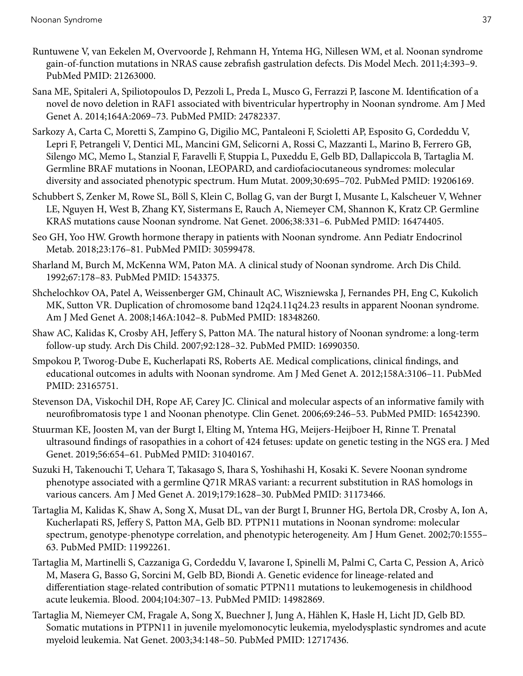- <span id="page-36-0"></span>Runtuwene V, van Eekelen M, Overvoorde J, Rehmann H, Yntema HG, Nillesen WM, et al. Noonan syndrome gain-of-function mutations in NRAS cause zebrafish gastrulation defects. Dis Model Mech. 2011;4:393–9. PubMed PMID: [21263000.](https://www.ncbi.nlm.nih.gov/pubmed/21263000)
- Sana ME, Spitaleri A, Spiliotopoulos D, Pezzoli L, Preda L, Musco G, Ferrazzi P, Iascone M. Identification of a novel de novo deletion in RAF1 associated with biventricular hypertrophy in Noonan syndrome. Am J Med Genet A. 2014;164A:2069–73. PubMed PMID: [24782337.](https://www.ncbi.nlm.nih.gov/pubmed/24782337)
- Sarkozy A, Carta C, Moretti S, Zampino G, Digilio MC, Pantaleoni F, Scioletti AP, Esposito G, Cordeddu V, Lepri F, Petrangeli V, Dentici ML, Mancini GM, Selicorni A, Rossi C, Mazzanti L, Marino B, Ferrero GB, Silengo MC, Memo L, Stanzial F, Faravelli F, Stuppia L, Puxeddu E, Gelb BD, Dallapiccola B, Tartaglia M. Germline BRAF mutations in Noonan, LEOPARD, and cardiofaciocutaneous syndromes: molecular diversity and associated phenotypic spectrum. Hum Mutat. 2009;30:695–702. PubMed PMID: [19206169](https://www.ncbi.nlm.nih.gov/pubmed/19206169).
- Schubbert S, Zenker M, Rowe SL, Böll S, Klein C, Bollag G, van der Burgt I, Musante L, Kalscheuer V, Wehner LE, Nguyen H, West B, Zhang KY, Sistermans E, Rauch A, Niemeyer CM, Shannon K, Kratz CP. Germline KRAS mutations cause Noonan syndrome. Nat Genet. 2006;38:331–6. PubMed PMID: [16474405](https://www.ncbi.nlm.nih.gov/pubmed/16474405).
- Seo GH, Yoo HW. Growth hormone therapy in patients with Noonan syndrome. Ann Pediatr Endocrinol Metab. 2018;23:176–81. PubMed PMID: [30599478.](https://www.ncbi.nlm.nih.gov/pubmed/30599478)
- Sharland M, Burch M, McKenna WM, Paton MA. A clinical study of Noonan syndrome. Arch Dis Child. 1992;67:178–83. PubMed PMID: [1543375](https://www.ncbi.nlm.nih.gov/pubmed/1543375).
- Shchelochkov OA, Patel A, Weissenberger GM, Chinault AC, Wiszniewska J, Fernandes PH, Eng C, Kukolich MK, Sutton VR. Duplication of chromosome band 12q24.11q24.23 results in apparent Noonan syndrome. Am J Med Genet A. 2008;146A:1042–8. PubMed PMID: [18348260.](https://www.ncbi.nlm.nih.gov/pubmed/18348260)
- Shaw AC, Kalidas K, Crosby AH, Jeffery S, Patton MA. The natural history of Noonan syndrome: a long-term follow-up study. Arch Dis Child. 2007;92:128–32. PubMed PMID: [16990350](https://www.ncbi.nlm.nih.gov/pubmed/16990350).
- Smpokou P, Tworog-Dube E, Kucherlapati RS, Roberts AE. Medical complications, clinical findings, and educational outcomes in adults with Noonan syndrome. Am J Med Genet A. 2012;158A:3106–11. PubMed PMID: [23165751.](https://www.ncbi.nlm.nih.gov/pubmed/23165751)
- Stevenson DA, Viskochil DH, Rope AF, Carey JC. Clinical and molecular aspects of an informative family with neurofibromatosis type 1 and Noonan phenotype. Clin Genet. 2006;69:246–53. PubMed PMID: [16542390.](https://www.ncbi.nlm.nih.gov/pubmed/16542390)
- Stuurman KE, Joosten M, van der Burgt I, Elting M, Yntema HG, Meijers-Heijboer H, Rinne T. Prenatal ultrasound findings of rasopathies in a cohort of 424 fetuses: update on genetic testing in the NGS era. J Med Genet. 2019;56:654–61. PubMed PMID: [31040167.](https://www.ncbi.nlm.nih.gov/pubmed/31040167)
- Suzuki H, Takenouchi T, Uehara T, Takasago S, Ihara S, Yoshihashi H, Kosaki K. Severe Noonan syndrome phenotype associated with a germline Q71R MRAS variant: a recurrent substitution in RAS homologs in various cancers. Am J Med Genet A. 2019;179:1628–30. PubMed PMID: [31173466.](https://www.ncbi.nlm.nih.gov/pubmed/31173466)
- Tartaglia M, Kalidas K, Shaw A, Song X, Musat DL, van der Burgt I, Brunner HG, Bertola DR, Crosby A, Ion A, Kucherlapati RS, Jeffery S, Patton MA, Gelb BD. PTPN11 mutations in Noonan syndrome: molecular spectrum, genotype-phenotype correlation, and phenotypic heterogeneity. Am J Hum Genet. 2002;70:1555– 63. PubMed PMID: [11992261.](https://www.ncbi.nlm.nih.gov/pubmed/11992261)
- Tartaglia M, Martinelli S, Cazzaniga G, Cordeddu V, Iavarone I, Spinelli M, Palmi C, Carta C, Pession A, Aricò M, Masera G, Basso G, Sorcini M, Gelb BD, Biondi A. Genetic evidence for lineage-related and differentiation stage-related contribution of somatic PTPN11 mutations to leukemogenesis in childhood acute leukemia. Blood. 2004;104:307–13. PubMed PMID: [14982869.](https://www.ncbi.nlm.nih.gov/pubmed/14982869)
- Tartaglia M, Niemeyer CM, Fragale A, Song X, Buechner J, Jung A, Hählen K, Hasle H, Licht JD, Gelb BD. Somatic mutations in PTPN11 in juvenile myelomonocytic leukemia, myelodysplastic syndromes and acute myeloid leukemia. Nat Genet. 2003;34:148–50. PubMed PMID: [12717436.](https://www.ncbi.nlm.nih.gov/pubmed/12717436)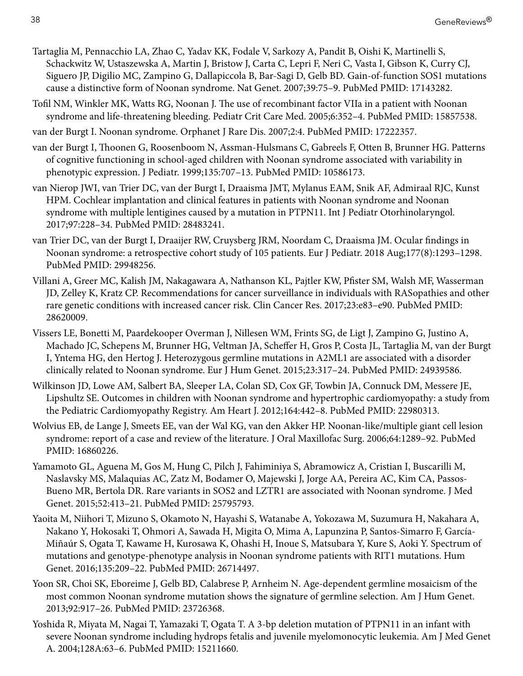- <span id="page-37-0"></span>Tartaglia M, Pennacchio LA, Zhao C, Yadav KK, Fodale V, Sarkozy A, Pandit B, Oishi K, Martinelli S, Schackwitz W, Ustaszewska A, Martin J, Bristow J, Carta C, Lepri F, Neri C, Vasta I, Gibson K, Curry CJ, Siguero JP, Digilio MC, Zampino G, Dallapiccola B, Bar-Sagi D, Gelb BD. Gain-of-function SOS1 mutations cause a distinctive form of Noonan syndrome. Nat Genet. 2007;39:75–9. PubMed PMID: [17143282](https://www.ncbi.nlm.nih.gov/pubmed/17143282).
- Tofil NM, Winkler MK, Watts RG, Noonan J. The use of recombinant factor VIIa in a patient with Noonan syndrome and life-threatening bleeding. Pediatr Crit Care Med. 2005;6:352–4. PubMed PMID: [15857538.](https://www.ncbi.nlm.nih.gov/pubmed/15857538)
- van der Burgt I. Noonan syndrome. Orphanet J Rare Dis. 2007;2:4. PubMed PMID: [17222357](https://www.ncbi.nlm.nih.gov/pubmed/17222357).
- van der Burgt I, Thoonen G, Roosenboom N, Assman-Hulsmans C, Gabreels F, Otten B, Brunner HG. Patterns of cognitive functioning in school-aged children with Noonan syndrome associated with variability in phenotypic expression. J Pediatr. 1999;135:707–13. PubMed PMID: [10586173.](https://www.ncbi.nlm.nih.gov/pubmed/10586173)
- van Nierop JWI, van Trier DC, van der Burgt I, Draaisma JMT, Mylanus EAM, Snik AF, Admiraal RJC, Kunst HPM. Cochlear implantation and clinical features in patients with Noonan syndrome and Noonan syndrome with multiple lentigines caused by a mutation in PTPN11. Int J Pediatr Otorhinolaryngol. 2017;97:228–34. PubMed PMID: [28483241](https://www.ncbi.nlm.nih.gov/pubmed/28483241).
- van Trier DC, van der Burgt I, Draaijer RW, Cruysberg JRM, Noordam C, Draaisma JM. Ocular findings in Noonan syndrome: a retrospective cohort study of 105 patients. Eur J Pediatr. 2018 Aug;177(8):1293–1298. PubMed PMID: [29948256.](https://www.ncbi.nlm.nih.gov/pubmed/29948256)
- Villani A, Greer MC, Kalish JM, Nakagawara A, Nathanson KL, Pajtler KW, Pfister SM, Walsh MF, Wasserman JD, Zelley K, Kratz CP. Recommendations for cancer surveillance in individuals with RASopathies and other rare genetic conditions with increased cancer risk. Clin Cancer Res. 2017;23:e83–e90. PubMed PMID: [28620009](https://www.ncbi.nlm.nih.gov/pubmed/28620009).
- Vissers LE, Bonetti M, Paardekooper Overman J, Nillesen WM, Frints SG, de Ligt J, Zampino G, Justino A, Machado JC, Schepens M, Brunner HG, Veltman JA, Scheffer H, Gros P, Costa JL, Tartaglia M, van der Burgt I, Yntema HG, den Hertog J. Heterozygous germline mutations in A2ML1 are associated with a disorder clinically related to Noonan syndrome. Eur J Hum Genet. 2015;23:317–24. PubMed PMID: [24939586](https://www.ncbi.nlm.nih.gov/pubmed/24939586).
- Wilkinson JD, Lowe AM, Salbert BA, Sleeper LA, Colan SD, Cox GF, Towbin JA, Connuck DM, Messere JE, Lipshultz SE. Outcomes in children with Noonan syndrome and hypertrophic cardiomyopathy: a study from the Pediatric Cardiomyopathy Registry. Am Heart J. 2012;164:442–8. PubMed PMID: [22980313](https://www.ncbi.nlm.nih.gov/pubmed/22980313).
- Wolvius EB, de Lange J, Smeets EE, van der Wal KG, van den Akker HP. Noonan-like/multiple giant cell lesion syndrome: report of a case and review of the literature. J Oral Maxillofac Surg. 2006;64:1289–92. PubMed PMID: [16860226.](https://www.ncbi.nlm.nih.gov/pubmed/16860226)
- Yamamoto GL, Aguena M, Gos M, Hung C, Pilch J, Fahiminiya S, Abramowicz A, Cristian I, Buscarilli M, Naslavsky MS, Malaquias AC, Zatz M, Bodamer O, Majewski J, Jorge AA, Pereira AC, Kim CA, Passos-Bueno MR, Bertola DR. Rare variants in SOS2 and LZTR1 are associated with Noonan syndrome. J Med Genet. 2015;52:413–21. PubMed PMID: [25795793.](https://www.ncbi.nlm.nih.gov/pubmed/25795793)
- Yaoita M, Niihori T, Mizuno S, Okamoto N, Hayashi S, Watanabe A, Yokozawa M, Suzumura H, Nakahara A, Nakano Y, Hokosaki T, Ohmori A, Sawada H, Migita O, Mima A, Lapunzina P, Santos-Simarro F, García-Miñaúr S, Ogata T, Kawame H, Kurosawa K, Ohashi H, Inoue S, Matsubara Y, Kure S, Aoki Y. Spectrum of mutations and genotype-phenotype analysis in Noonan syndrome patients with RIT1 mutations. Hum Genet. 2016;135:209–22. PubMed PMID: [26714497](https://www.ncbi.nlm.nih.gov/pubmed/26714497).
- Yoon SR, Choi SK, Eboreime J, Gelb BD, Calabrese P, Arnheim N. Age-dependent germline mosaicism of the most common Noonan syndrome mutation shows the signature of germline selection. Am J Hum Genet. 2013;92:917–26. PubMed PMID: [23726368](https://www.ncbi.nlm.nih.gov/pubmed/23726368).
- Yoshida R, Miyata M, Nagai T, Yamazaki T, Ogata T. A 3-bp deletion mutation of PTPN11 in an infant with severe Noonan syndrome including hydrops fetalis and juvenile myelomonocytic leukemia. Am J Med Genet A. 2004;128A:63–6. PubMed PMID: [15211660](https://www.ncbi.nlm.nih.gov/pubmed/15211660).